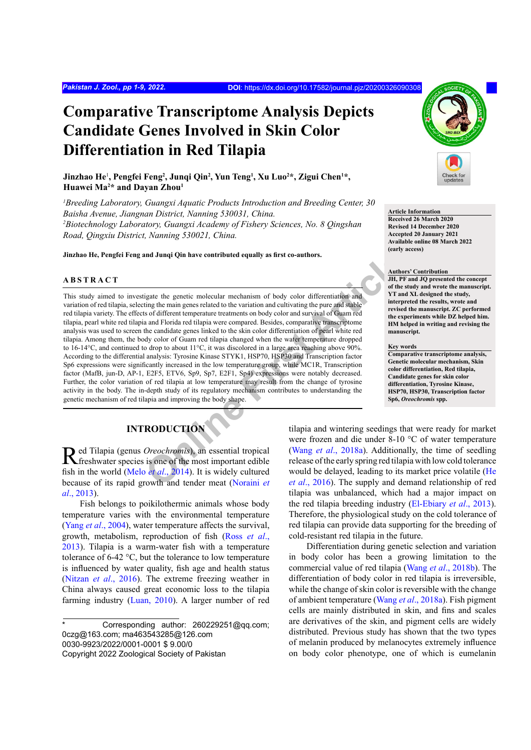# **Comparative Transcriptome Analysis Depicts Candidate Genes Involved in Skin Color Differentiation in Red Tilapia**

#### Jinzhao He<sup>1</sup>, Pengfei Feng<sup>2</sup>, Junqi Qin<sup>2</sup>, Yun Teng<sup>1</sup>, Xu Luo<sup>2</sup>\*, Zigui Chen<sup>1</sup>\*, **Huawei Ma2 \* and Dayan Zhou1**

*1 Breeding Laboratory, Guangxi Aquatic Products Introduction and Breeding Center, 30 Baisha Avenue, Jiangnan District, Nanning 530031, China. 2 Biotechnology Laboratory, Guangxi Academy of Fishery Sciences, No. 8 Qingshan Road, Qingxiu District, Nanning 530021, China.*

**Jinzhao He, Pengfei Feng and Junqi Qin have contributed equally as first co-authors.**

#### **ABSTRACT**

**One is the matrixle sum the sum of the sum of the sum of the sum of the sum of the same of different temperature treatments on body color differentiation and the same of the same of the sense telested to the version and** This study aimed to investigate the genetic molecular mechanism of body color differentiation and variation of red tilapia, selecting the main genes related to the variation and cultivating the pure and stable red tilapia variety. The effects of different temperature treatments on body color and survival of Guam red tilapia, pearl white red tilapia and Florida red tilapia were compared. Besides, comparative transcriptome analysis was used to screen the candidate genes linked to the skin color differentiation of pearl white red tilapia. Among them, the body color of Guam red tilapia changed when the water temperature dropped to 16-14°C, and continued to drop to about 11°C, it was discolored in a large area reaching above 90%. According to the differential analysis: Tyrosine Kinase STYK1, HSP70, HSP30 and Transcription factor Sp6 expressions were significantly increased in the low temperature group, while MC1R, Transcription factor (MafB, jun-D, AP-1, E2F5, ETV6, Sp9, Sp7, E2F1, Sp4) expressions were notably decreased. Further, the color variation of red tilapia at low temperature may result from the change of tyrosine activity in the body. The in-depth study of its regulatory mechanism contributes to understanding the genetic mechanism of red tilapia and improving the body shape.

# **INTRODUCTION**

Red Tilapia (genus *Oreochromis*), an essential tropical freshwater species is one of the most important edible fish in the world (Melo *et al*., 2014). It is widely cultured because of its rapid growth and tender meat (Noraini *et al*., 2013).

Fish belongs to poikilothermic animals whose body temperature varies with the environmental temperature (Yang *et al*., 2004), water temperature affects the survival, growth, metabolism, reproduction of fish (Ross *et al*., 2013). Tilapia is a warm-water fish with a temperature tolerance of 6-42 °C, but the tolerance to low temperature is influenced by water quality, fish age and health status (Nitzan *et al*., 2016). The extreme freezing weather in China always caused great economic loss to the tilapia farming industry (Luan, 2010). A larger number of red



#### **Article Information**

**Received 26 March 2020 Revised 14 December 2020 Accepted 20 January 2021 Available online 08 March 2022 (early access)**

#### **Authors' Contribution**

**JH, PF and JQ presented the concept of the study and wrote the manuscript. YT and XL designed the study, interpreted the results, wrote and revised the manuscript. ZC performed the experiments while DZ helped him. HM helped in writing and revising the manuscript.** 

#### **Key words**

**Comparative transcriptome analysis, Genetic molecular mechanism, Skin color differentiation, Red tilapia, Candidate genes for skin color differentiation, Tyrosine Kinase, HSP70, HSP30, Transcription factor Sp6,** *Oreochromis* **spp.**

tilapia and wintering seedings that were ready for market were frozen and die under 8-10 °C of water temperature (Wang *et al*., 2018a). Additionally, the time of seedling release of the early spring red tilapia with low cold tolerance would be delayed, leading to its market price volatile (He *et al*., 2016). The supply and demand relationship of red tilapia was unbalanced, which had a major impact on the red tilapia breeding industry (El-Ebiary *et al*., 2013). Therefore, the physiological study on the cold tolerance of red tilapia can provide data supporting for the breeding of cold-resistant red tilapia in the future.

Differentiation during genetic selection and variation in body color has been a growing limitation to the commercial value of red tilapia (Wang *et al*., 2018b). The differentiation of body color in red tilapia is irreversible, while the change of skin color is reversible with the change of ambient temperature (Wang *et al*., 2018a). Fish pigment cells are mainly distributed in skin, and fins and scales are derivatives of the skin, and pigment cells are widely distributed. Previous study has shown that the two types of melanin produced by melanocytes extremely influence on body color phenotype, one of which is eumelanin

Corresponding author: 260229251@qq.com; 0czg@163.com; ma463543285@126.com 0030-9923/2022/0001-0001 \$ 9.00/0 Copyright 2022 Zoological Society of Pakistan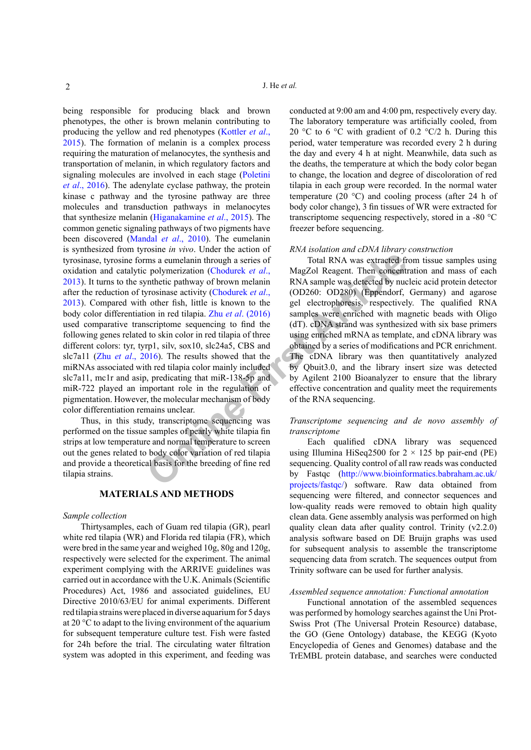many a cumelanin through a series of<br>
Total RNA was extracted fr<br>
polymerization (Chodurek *et al.*, MagZol Reagent. Then concentum<br>
theitic pathway of brown melanin<br>
RNA sample was detected by nuce-<br>
the fish, little is k being responsible for producing black and brown phenotypes, the other is brown melanin contributing to producing the yellow and red phenotypes (Kottler *et al*., 2015). The formation of melanin is a complex process requiring the maturation of melanocytes, the synthesis and transportation of melanin, in which regulatory factors and signaling molecules are involved in each stage (Poletini *et al*., 2016). The adenylate cyclase pathway, the protein kinase c pathway and the tyrosine pathway are three molecules and transduction pathways in melanocytes that synthesize melanin (Higanakamine *et al*., 2015). The common genetic signaling pathways of two pigments have been discovered (Mandal *et al*., 2010). The eumelanin is synthesized from tyrosine *in vivo*. Under the action of tyrosinase, tyrosine forms a eumelanin through a series of oxidation and catalytic polymerization (Chodurek *et al*., 2013). It turns to the synthetic pathway of brown melanin after the reduction of tyrosinase activity (Chodurek *et al*., 2013). Compared with other fish, little is known to the body color differentiation in red tilapia. Zhu *et al*. (2016) used comparative transcriptome sequencing to find the following genes related to skin color in red tilapia of three different colors: tyr, tyrp1, silv, sox10, slc24a5, CBS and slc7a11 (Zhu *et al*., 2016). The results showed that the miRNAs associated with red tilapia color mainly included slc7a11, mc1r and asip, predicating that miR-138-5p and miR-722 played an important role in the regulation of pigmentation. However, the molecular mechanism of body color differentiation remains unclear.

Thus, in this study, transcriptome sequencing was performed on the tissue samples of pearly white tilapia fin strips at low temperature and normal temperature to screen out the genes related to body color variation of red tilapia and provide a theoretical basis for the breeding of fine red tilapia strains.

#### **MATERIALS AND METHODS**

#### *Sample collection*

Thirtysamples, each of Guam red tilapia (GR), pearl white red tilapia (WR) and Florida red tilapia (FR), which were bred in the same year and weighed 10g, 80g and 120g, respectively were selected for the experiment. The animal experiment complying with the ARRIVE guidelines was carried out in accordance with the U.K. Animals (Scientific Procedures) Act, 1986 and associated guidelines, EU Directive 2010/63/EU for animal experiments. Different red tilapia strains were placed in diverse aquarium for 5 days at 20 °C to adapt to the living environment of the aquarium for subsequent temperature culture test. Fish were fasted for 24h before the trial. The circulating water filtration system was adopted in this experiment, and feeding was

conducted at 9:00 am and 4:00 pm, respectively every day. The laboratory temperature was artificially cooled, from 20 °C to 6 °C with gradient of 0.2 °C/2 h. During this period, water temperature was recorded every 2 h during the day and every 4 h at night. Meanwhile, data such as the deaths, the temperature at which the body color began to change, the location and degree of discoloration of red tilapia in each group were recorded. In the normal water temperature (20 $\degree$ C) and cooling process (after 24 h of body color change), 3 fin tissues of WR were extracted for transcriptome sequencing respectively, stored in a -80 °C freezer before sequencing.

#### *RNA isolation and cDNA library construction*

Total RNA was extracted from tissue samples using MagZol Reagent. Then concentration and mass of each RNA sample was detected by nucleic acid protein detector (OD260: OD280) (Eppendorf, Germany) and agarose gel electrophoresis, respectively. The qualified RNA samples were enriched with magnetic beads with Oligo (dT). cDNA strand was synthesized with six base primers using enriched mRNA as template, and cDNA library was obtained by a series of modifications and PCR enrichment. The cDNA library was then quantitatively analyzed by Qbuit3.0, and the library insert size was detected by Agilent 2100 Bioanalyzer to ensure that the library effective concentration and quality meet the requirements of the RNA sequencing.

### *Transcriptome sequencing and de novo assembly of transcriptome*

Each qualified cDNA library was sequenced using Illumina HiSeq2500 for  $2 \times 125$  bp pair-end (PE) sequencing. Quality control of all raw reads was conducted by Fastqc ([http://www.bioinformatics.babraham.ac.uk/](http://www.bioinformatics.babraham.ac.uk/projects/fastqc/) projects/fastqc/) software. Raw data obtained from sequencing were filtered, and connector sequences and low-quality reads were removed to obtain high quality clean data. Gene assembly analysis was performed on high quality clean data after quality control. Trinity (v2.2.0) analysis software based on DE Bruijn graphs was used for subsequent analysis to assemble the transcriptome sequencing data from scratch. The sequences output from Trinity software can be used for further analysis.

#### *Assembled sequence annotation: Functional annotation*

Functional annotation of the assembled sequences was performed by homology searches against the Uni Prot-Swiss Prot (The Universal Protein Resource) database, the GO (Gene Ontology) database, the KEGG (Kyoto Encyclopedia of Genes and Genomes) database and the TrEMBL protein database, and searches were conducted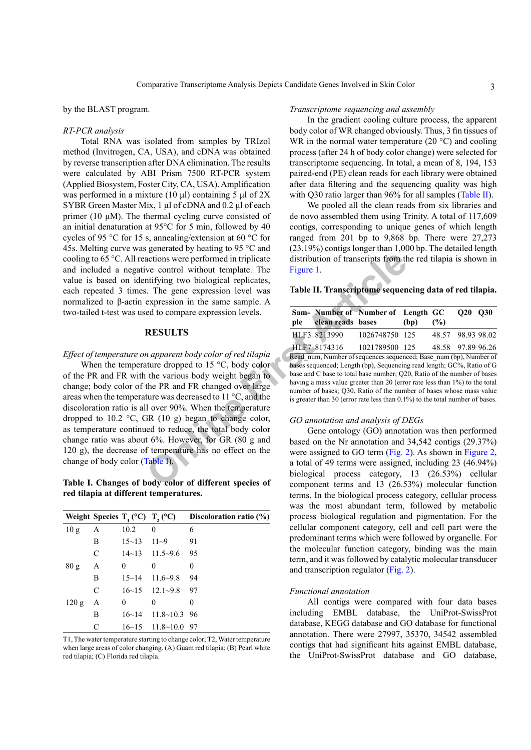by the BLAST program.

#### *RT-PCR analysis*

Total RNA was isolated from samples by TRIzol method (Invitrogen, CA, USA), and cDNA was obtained by reverse transcription after DNA elimination. The results were calculated by ABI Prism 7500 RT-PCR system (Applied Biosystem, Foster City, CA, USA). Amplification was performed in a mixture (10 μl) containing 5 μl of 2X SYBR Green Master Mix, 1 μl of cDNA and 0.2 μl of each primer (10 μM). The thermal cycling curve consisted of an initial denaturation at 95°C for 5 min, followed by 40 cycles of 95 °C for 15 s, annealing/extension at 60 °C for 45s. Melting curve was generated by heating to 95 °C and cooling to 65 °C. All reactions were performed in triplicate and included a negative control without template. The value is based on identifying two biological replicates, each repeated 3 times. The gene expression level was normalized to β-actin expression in the same sample. A two-tailed t-test was used to compare expression levels.

#### **RESULTS**

#### *Effect of temperature on apparent body color of red tilapia*

actions were performed in triplicate<br>
or the control without template. The<br>
Intifying two biological replicates,<br>
Explicit Article Enterpression level was<br>
expression in the same sample. A<br>
each to compare expression level When the temperature dropped to 15 °C, body color of the PR and FR with the various body weight began to change; body color of the PR and FR changed over large areas when the temperature was decreased to 11 °C, and the discoloration ratio is all over 90%. When the temperature dropped to 10.2  $\degree$ C, GR (10 g) began to change color, as temperature continued to reduce, the total body color change ratio was about 6%. However, for GR (80 g and 120 g), the decrease of temperature has no effect on the change of body color (Table I).

**Table I. Changes of body color of different species of red tilapia at different temperatures.**

|       |   |                          |                                 | Weight Species $T_1({}^{\circ}C)$ $T_2({}^{\circ}C)$ Discoloration ratio $({}^{\circ}C)$ |
|-------|---|--------------------------|---------------------------------|------------------------------------------------------------------------------------------|
| 10g   | A | 10.2                     | $\mathbf{0}$                    | 6                                                                                        |
|       | В | $15 \sim 13$ $11 \sim 9$ |                                 | 91                                                                                       |
|       | C |                          | $14 \sim 13$ $11.5 \sim 9.6$    | 95                                                                                       |
| 80 g  | A | $\Omega$                 | 0                               | $\theta$                                                                                 |
|       | В |                          | $15 \sim 14$ $11.6 \sim 9.8$    | 94                                                                                       |
|       | C |                          | $16 \sim 15$ $12.1 \sim 9.8$ 97 |                                                                                          |
| 120 g | A | $\overline{0}$           | 0                               | 0                                                                                        |
|       | в | 16~14                    | $11.8 \sim 10.3$ 96             |                                                                                          |
|       | C |                          | $16~15$ $11.8~10.0$ 97          |                                                                                          |

T1, The water temperature starting to change color; T2, Water temperature when large areas of color changing. (A) Guam red tilapia; (B) Pearl white red tilapia; (C) Florida red tilapia.

#### *Transcriptome sequencing and assembly*

In the gradient cooling culture process, the apparent body color of WR changed obviously. Thus, 3 fin tissues of WR in the normal water temperature (20 °C) and cooling process (after 24 h of body color change) were selected for transcriptome sequencing. In total, a mean of 8, 194, 153 paired-end (PE) clean reads for each library were obtained after data filtering and the sequencing quality was high with Q30 ratio larger than 96% for all samples (Table II).

We pooled all the clean reads from six libraries and de novo assembled them using Trinity. A total of 117,609 contigs, corresponding to unique genes of which length ranged from 201 bp to 9,868 bp. There were 27,273 (23.19%) contigs longer than 1,000 bp. The detailed length distribution of transcripts from the red tilapia is shown in Figure 1.

## **Table II. Transcriptome sequencing data of red tilapia.**

| ple                                                                        | clean reads bases | Sam- Number of Number of Length GC                                               | (bp) | (%)               | O20 | O30 |
|----------------------------------------------------------------------------|-------------------|----------------------------------------------------------------------------------|------|-------------------|-----|-----|
|                                                                            |                   |                                                                                  |      |                   |     |     |
|                                                                            | HLF3 8213990      | 1026748750 125                                                                   |      | 48.57 98.93 98.02 |     |     |
|                                                                            | HLF7 8174316      | 1021789500 125                                                                   |      | 48.58 97.89 96.26 |     |     |
|                                                                            |                   | Read num, Number of sequences sequenced; Base num (bp), Number of                |      |                   |     |     |
| bases sequenced; Length (bp), Sequencing read length; GC%, Ratio of G      |                   |                                                                                  |      |                   |     |     |
| base and C base to total base number; Q20, Ratio of the number of bases    |                   |                                                                                  |      |                   |     |     |
| having a mass value greater than 20 (error rate less than 1%) to the total |                   |                                                                                  |      |                   |     |     |
| number of bases; O30, Ratio of the number of bases whose mass value        |                   |                                                                                  |      |                   |     |     |
|                                                                            |                   | is greater than 30 (error rate less than $0.1\%$ ) to the total number of bases. |      |                   |     |     |

#### *GO annotation and analysis of DEGs*

Gene ontology (GO) annotation was then performed based on the Nr annotation and 34,542 contigs (29.37%) were assigned to GO term (Fig. 2). As shown in Figure 2, a total of 49 terms were assigned, including 23 (46.94%) biological process category, 13 (26.53%) cellular component terms and 13 (26.53%) molecular function terms. In the biological process category, cellular process was the most abundant term, followed by metabolic process biological regulation and pigmentation. For the cellular component category, cell and cell part were the predominant terms which were followed by organelle. For the molecular function category, binding was the main term, and it was followed by catalytic molecular transducer and transcription regulator (Fig. 2).

#### *Functional annotation*

All contigs were compared with four data bases including EMBL database, the UniProt-SwissProt database, KEGG database and GO database for functional annotation. There were 27997, 35370, 34542 assembled contigs that had significant hits against EMBL database, the UniProt-SwissProt database and GO database,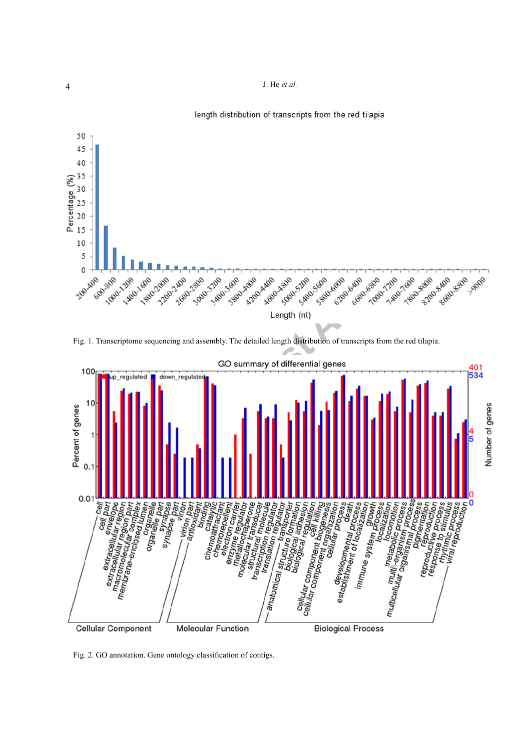



Fig. 1. Transcriptome sequencing and assembly. The detailed length distribution of transcripts from the red tilapia.



Fig. 2. GO annotation. Gene ontology classification of contigs.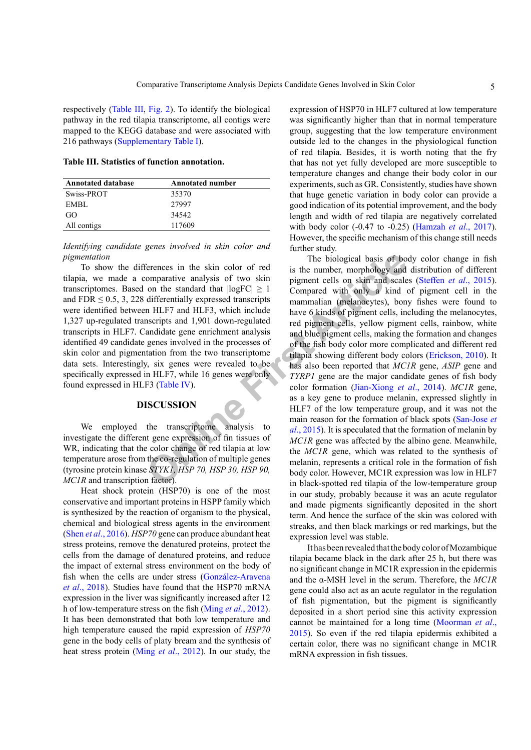respectively (Table III, Fig. 2). To identify the biological pathway in the red tilapia transcriptome, all contigs were mapped to the KEGG database and were associated with 216 pathways (Supplementary Table I).

**Table III. Statistics of function annotation.**

| <b>Annotated database</b> | Annotated number |
|---------------------------|------------------|
| Swiss-PROT                | 35370            |
| EMBL.                     | 27997            |
| GO                        | 34542            |
| All contigs               | 117609           |

*Identifying candidate genes involved in skin color and pigmentation*

To show the differences in the skin color of red tilapia, we made a comparative analysis of two skin transcriptomes. Based on the standard that  $|\text{logFC}| \geq 1$ and FDR  $\leq$  0.5, 3, 228 differentially expressed transcripts were identified between HLF7 and HLF3, which include 1,327 up-regulated transcripts and 1,901 down-regulated transcripts in HLF7. Candidate gene enrichment analysis identified 49 candidate genes involved in the processes of skin color and pigmentation from the two transcriptome data sets. Interestingly, six genes were revealed to be specifically expressed in HLF7, while 16 genes were only found expressed in HLF3 (Table IV).

#### **DISCUSSION**

We employed the transcriptome analysis to investigate the different gene expression of fin tissues of WR, indicating that the color change of red tilapia at low temperature arose from the co-regulation of multiple genes (tyrosine protein kinase *STYK1, HSP 70, HSP 30, HSP 90, MC1R* and transcription factor).

Heat shock protein (HSP70) is one of the most conservative and important proteins in HSPP family which is synthesized by the reaction of organism to the physical, chemical and biological stress agents in the environment (Shen *et al*., 2016). *HSP70* gene can produce abundant heat stress proteins, remove the denatured proteins, protect the cells from the damage of denatured proteins, and reduce the impact of external stress environment on the body of fish when the cells are under stress (González-Aravena *et al*., 2018). Studies have found that the HSP70 mRNA expression in the liver was significantly increased after 12 h of low-temperature stress on the fish (Ming *et al*., 2012). It has been demonstrated that both low temperature and high temperature caused the rapid expression of *HSP70*  gene in the body cells of platy bream and the synthesis of heat stress protein (Ming *et al*., 2012). In our study, the

expression of HSP70 in HLF7 cultured at low temperature was significantly higher than that in normal temperature group, suggesting that the low temperature environment outside led to the changes in the physiological function of red tilapia. Besides, it is worth noting that the fry that has not yet fully developed are more susceptible to temperature changes and change their body color in our experiments, such as GR. Consistently, studies have shown that huge genetic variation in body color can provide a good indication of its potential improvement, and the body length and width of red tilapia are negatively correlated with body color (-0.47 to -0.25) (Hamzah *et al*., 2017). However, the specific mechanism of this change still needs further study.

Forences in the skin color of red<br>
is the number, morphology and<br>
on mparative analysis of two skin<br>
on the standard that  $|\log FC| \ge 1$ <br>
differentially expressed transcripts<br>
marmalian (melanocytes), bom<br>
n HLF7 and HLF3, wh The biological basis of body color change in fish is the number, morphology and distribution of different pigment cells on skin and scales (Steffen *et al*., 2015). Compared with only a kind of pigment cell in the mammalian (melanocytes), bony fishes were found to have 6 kinds of pigment cells, including the melanocytes, red pigment cells, yellow pigment cells, rainbow, white and blue pigment cells, making the formation and changes of the fish body color more complicated and different red tilapia showing different body colors (Erickson, 2010). It has also been reported that *MC1R* gene, *ASIP* gene and *TYRP1* gene are the major candidate genes of fish body color formation (Jian-Xiong *et al*., 2014). *MC1R* gene, as a key gene to produce melanin, expressed slightly in HLF7 of the low temperature group, and it was not the main reason for the formation of black spots (San-Jose *et al*., 2015). It is speculated that the formation of melanin by *MC1R* gene was affected by the albino gene. Meanwhile, the *MC1R* gene, which was related to the synthesis of melanin, represents a critical role in the formation of fish body color. However, MC1R expression was low in HLF7 in black-spotted red tilapia of the low-temperature group in our study, probably because it was an acute regulator and made pigments significantly deposited in the short term. And hence the surface of the skin was colored with streaks, and then black markings or red markings, but the expression level was stable.

> It has been revealed that the body color of Mozambique tilapia became black in the dark after 25 h, but there was no significant change in MC1R expression in the epidermis and the α-MSH level in the serum. Therefore, the *MC1R* gene could also act as an acute regulator in the regulation of fish pigmentation, but the pigment is significantly deposited in a short period sine this activity expression cannot be maintained for a long time (Moorman *et al*., 2015). So even if the red tilapia epidermis exhibited a certain color, there was no significant change in MC1R mRNA expression in fish tissues.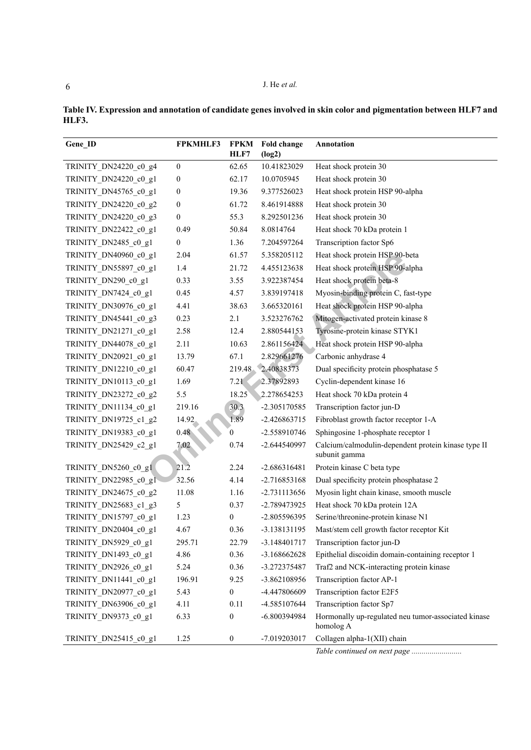| Table IV. Expression and annotation of candidate genes involved in skin color and pigmentation between HLF7 and |  |
|-----------------------------------------------------------------------------------------------------------------|--|
| HLF3.                                                                                                           |  |

| Gene_ID               | <b>FPKMHLF3</b>  | <b>FPKM</b><br>HLF7 | Fold change<br>(log2) | Annotation                                                           |
|-----------------------|------------------|---------------------|-----------------------|----------------------------------------------------------------------|
| TRINITY DN24220 c0 g4 | $\boldsymbol{0}$ | 62.65               | 10.41823029           | Heat shock protein 30                                                |
| TRINITY DN24220 c0 g1 | $\boldsymbol{0}$ | 62.17               | 10.0705945            | Heat shock protein 30                                                |
| TRINITY DN45765 c0 g1 | $\boldsymbol{0}$ | 19.36               | 9.377526023           | Heat shock protein HSP 90-alpha                                      |
| TRINITY_DN24220_c0_g2 | $\boldsymbol{0}$ | 61.72               | 8.461914888           | Heat shock protein 30                                                |
| TRINITY DN24220 c0 g3 | $\mathbf{0}$     | 55.3                | 8.292501236           | Heat shock protein 30                                                |
| TRINITY DN22422 c0 g1 | 0.49             | 50.84               | 8.0814764             | Heat shock 70 kDa protein 1                                          |
| TRINITY DN2485 c0 g1  | $\boldsymbol{0}$ | 1.36                | 7.204597264           | Transcription factor Sp6                                             |
| TRINITY DN40960 c0 g1 | 2.04             | 61.57               | 5.358205112           | Heat shock protein HSP 90-beta                                       |
| TRINITY DN55897 c0 g1 | 1.4              | 21.72               | 4.455123638           | Heat shock protein HSP 90-alpha                                      |
| TRINITY DN290 c0 g1   | 0.33             | 3.55                | 3.922387454           | Heat shock protein beta-8                                            |
| TRINITY DN7424 c0 g1  | 0.45             | 4.57                | 3.839197418           | Myosin-binding protein C, fast-type                                  |
| TRINITY DN30976 c0 g1 | 4.41             | 38.63               | 3.665320161           | Heat shock protein HSP 90-alpha                                      |
| TRINITY_DN45441_c0_g3 | 0.23             | 2.1                 | 3.523276762           | Mitogen-activated protein kinase 8                                   |
| TRINITY DN21271 c0 g1 | 2.58             | 12.4                | 2.880544153           | Tyrosine-protein kinase STYK1                                        |
| TRINITY_DN44078_c0_g1 | 2.11             | 10.63               | 2.861156424           | Heat shock protein HSP 90-alpha                                      |
| TRINITY DN20921 c0 g1 | 13.79            | 67.1                | 2.829661276           | Carbonic anhydrase 4                                                 |
| TRINITY DN12210 c0 g1 | 60.47            |                     | 219.48 2.40838373     | Dual specificity protein phosphatase 5                               |
| TRINITY_DN10113_c0_g1 | 1.69             | 7.21                | 2.37892893            | Cyclin-dependent kinase 16                                           |
| TRINITY DN23272 c0 g2 | 5.5              | 18.25               | 2.278654253           | Heat shock 70 kDa protein 4                                          |
| TRINITY_DN11134_c0_g1 | 219.16           | 30.3                | -2.305170585          | Transcription factor jun-D                                           |
| TRINITY DN19725 c1 g2 | 14.92            | 1.89                | -2.426863715          | Fibroblast growth factor receptor 1-A                                |
| TRINITY_DN19383_c0_g1 | 0.48             | 0                   | -2.558910746          | Sphingosine 1-phosphate receptor 1                                   |
| TRINITY_DN25429_c2_g1 | 7.02             | 0.74                | -2.644540997          | Calcium/calmodulin-dependent protein kinase type II<br>subunit gamma |
| TRINITY DN5260 c0 g1  | 21.2             | 2.24                | -2.686316481          | Protein kinase C beta type                                           |
| TRINITY DN22985 c0 g1 | 32.56            | 4.14                | -2.716853168          | Dual specificity protein phosphatase 2                               |
| TRINITY DN24675 c0 g2 | 11.08            | 1.16                | -2.731113656          | Myosin light chain kinase, smooth muscle                             |
| TRINITY DN25683 c1 g3 | 5                | 0.37                | -2.789473925          | Heat shock 70 kDa protein 12A                                        |
| TRINITY DN15797 c0 g1 | 1.23             | $\boldsymbol{0}$    | -2.805596395          | Serine/threonine-protein kinase N1                                   |
| TRINITY DN20404 c0 g1 | 4.67             | 0.36                | -3.138131195          | Mast/stem cell growth factor receptor Kit                            |
| TRINITY_DN5929_c0_g1  | 295.71           | 22.79               | -3.148401717          | Transcription factor jun-D                                           |
| TRINITY DN1493 c0 g1  | 4.86             | 0.36                | -3.168662628          | Epithelial discoidin domain-containing receptor 1                    |
| TRINITY_DN2926_c0_g1  | 5.24             | 0.36                | -3.272375487          | Traf2 and NCK-interacting protein kinase                             |
| TRINITY DN11441 c0 g1 | 196.91           | 9.25                | -3.862108956          | Transcription factor AP-1                                            |
| TRINITY DN20977 c0 g1 | 5.43             | $\boldsymbol{0}$    | -4.447806609          | Transcription factor E2F5                                            |
| TRINITY_DN63906_c0_g1 | 4.11             | 0.11                | -4.585107644          | Transcription factor Sp7                                             |
| TRINITY_DN9373_c0_g1  | 6.33             | $\boldsymbol{0}$    | -6.800394984          | Hormonally up-regulated neu tumor-associated kinase<br>homolog A     |
| TRINITY_DN25415_c0_g1 | 1.25             | $\boldsymbol{0}$    | -7.019203017          | Collagen alpha-1(XII) chain                                          |

*Table continued on next page .........................*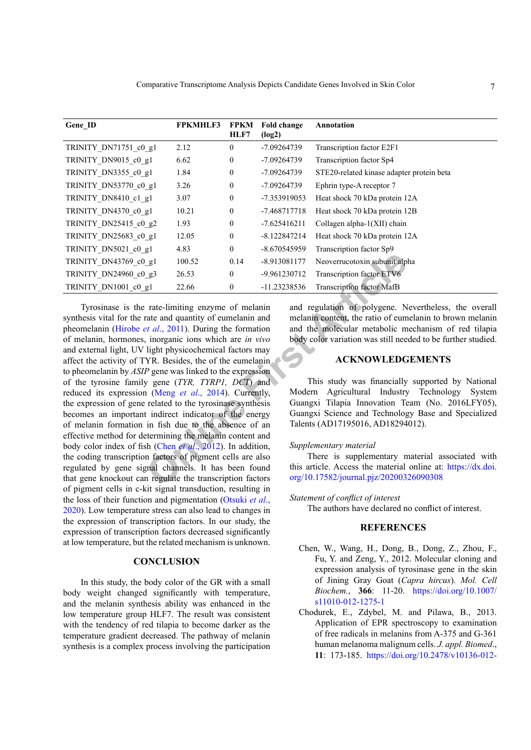| Gene ID               | <b>FPKMHLF3</b> | <b>FPKM</b><br>HLF7 | Fold change<br>(log2) | Annotation                                |
|-----------------------|-----------------|---------------------|-----------------------|-------------------------------------------|
| TRINITY DN71751 c0 g1 | 2.12            | $\mathbf{0}$        | -7.09264739           | Transcription factor E2F1                 |
| TRINITY DN9015 c0 g1  | 6.62            | $\theta$            | -7.09264739           | Transcription factor Sp4                  |
| TRINITY DN3355 c0 g1  | 1.84            | $\overline{0}$      | -7.09264739           | STE20-related kinase adapter protein beta |
| TRINITY DN53770 c0 g1 | 3.26            | $\theta$            | -7.09264739           | Ephrin type-A receptor 7                  |
| TRINITY DN8410 c1 g1  | 3.07            | $\theta$            | -7.353919053          | Heat shock 70 kDa protein 12A             |
| TRINITY DN4370 c0 g1  | 10.21           | $\overline{0}$      | $-7.468717718$        | Heat shock 70 kDa protein 12B             |
| TRINITY DN25415 c0 g2 | 1.93            | $\theta$            | $-7.625416211$        | Collagen alpha $-1(XII)$ chain            |
| TRINITY DN25683 c0 g1 | 12.05           | $\overline{0}$      | $-8.122847214$        | Heat shock 70 kDa protein 12A             |
| TRINITY DN5021 c0 g1  | 4.83            | $\mathbf{0}$        | -8.670545959          | Transcription factor Sp9                  |
| TRINITY DN43769 c0 g1 | 100.52          | 0.14                | -8.913081177          | Neoverrucotoxin subunit alpha             |
| TRINITY DN24960 c0 g3 | 26.53           | $\overline{0}$      | -9.961230712          | Transcription factor ETV6                 |
| TRINITY DN1001 c0 g1  | 22.66           | $\overline{0}$      | -11.23238536          | Transcription factor MafB                 |

**Example 100.52** 0.14 -8.913081177 Neoverrucotoxin subunit alp <br> **Example 100.52** 0.14 -8.913081177 Neoverrucotoxin subunit alp <br> **Example 10.53** 0 -9.961230712 Transcription factor ETV6 <br> **Example 10.44 article** 22.66 0 -Tyrosinase is the rate-limiting enzyme of melanin synthesis vital for the rate and quantity of eumelanin and pheomelanin (Hirobe *et al*., 2011). During the formation of melanin, hormones, inorganic ions which are *in vivo* and external light, UV light physicochemical factors may affect the activity of TYR. Besides, the of the eumelanin to pheomelanin by *ASIP* gene was linked to the expression of the tyrosine family gene (*TYR, TYRP1, DCT*) and reduced its expression (Meng *et al*., 2014). Currently, the expression of gene related to the tyrosinase synthesis becomes an important indirect indicator of the energy of melanin formation in fish due to the absence of an effective method for determining the melanin content and body color index of fish (Chen *et al*., 2012). In addition, the coding transcription factors of pigment cells are also regulated by gene signal channels. It has been found that gene knockout can regulate the transcription factors of pigment cells in c-kit signal transduction, resulting in the loss of their function and pigmentation (Otsuki *et al*., 2020). Low temperature stress can also lead to changes in the expression of transcription factors. In our study, the expression of transcription factors decreased significantly at low temperature, but the related mechanism is unknown.

## **CONCLUSION**

In this study, the body color of the GR with a small body weight changed significantly with temperature, and the melanin synthesis ability was enhanced in the low temperature group HLF7. The result was consistent with the tendency of red tilapia to become darker as the temperature gradient decreased. The pathway of melanin synthesis is a complex process involving the participation

and regulation of polygene. Nevertheless, the overall melanin content, the ratio of eumelanin to brown melanin and the molecular metabolic mechanism of red tilapia body color variation was still needed to be further studied.

#### **ACKNOWLEDGEMENTS**

This study was financially supported by National Modern Agricultural Industry Technology System Guangxi Tilapia Innovation Team (No. 2016LFY05), Guangxi Science and Technology Base and Specialized Talents (AD17195016, AD18294012).

#### *Supplementary material*

There is supplementary material associated with this article. Access the material online at: [https://dx.doi.](https://dx.doi.org/10.17582/journal.pjz/20200326090308) org/10.17582/journal.pjz/20200326090308

#### *Statement of conflict of interest*

The authors have declared no conflict of interest.

#### **REFERENCES**

- Chen, W., Wang, H., Dong, B., Dong, Z., Zhou, F., Fu, Y. and Zeng, Y., 2012. Molecular cloning and expression analysis of tyrosinase gene in the skin of Jining Gray Goat (*Capra hircus*). *Mol. Cell Biochem.*, **366**: 11-20. [https://doi.org/10.1007/](https://doi.org/10.1007/s11010-012-1275-1) [s11010-012-1275-1](https://doi.org/10.1007/s11010-012-1275-1)
- Chodurek, E., Zdybel, M. and Pilawa, B., 2013. Application of EPR spectroscopy to examination of free radicals in melanins from A-375 and G-361 human melanoma malignum cells. *J. appl. Biomed*., **11**: 173-185. [https://doi.org/10.2478/v10136-012-](https://doi.org/10.2478/v10136-012-0023-x)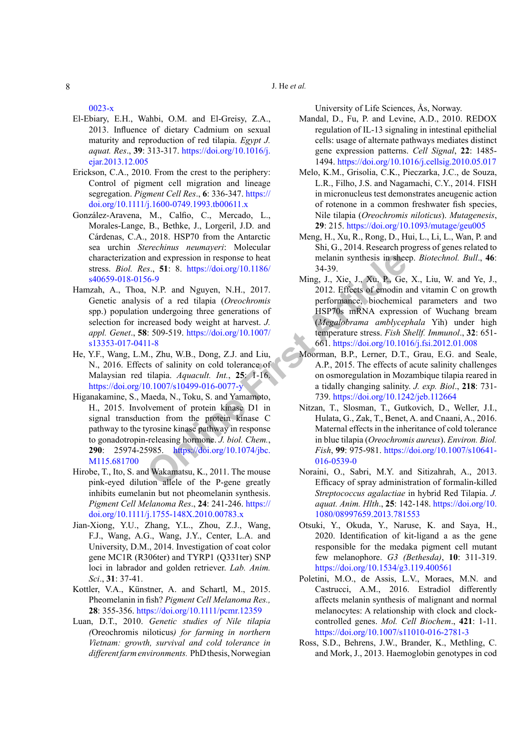[0023-x](https://doi.org/10.2478/v10136-012-0023-x)

- El-Ebiary, E.H., Wahbi, O.M. and El-Greisy, Z.A., 2013. Influence of dietary Cadmium on sexual maturity and reproduction of red tilapia. *Egypt J. aquat. Res*., **39**: 313-317. [https://doi.org/10.1016/j.](https://doi.org/10.1016/j.ejar.2013.12.005) [ejar.2013.12.005](https://doi.org/10.1016/j.ejar.2013.12.005)
- Erickson, C.A., 2010. From the crest to the periphery: Control of pigment cell migration and lineage segregation. *Pigment Cell Res*., **6**: 336-347. [https://](https://doi.org/10.1111/j.1600-0749.1993.tb00611.x) [doi.org/10.1111/j.1600-0749.1993.tb00611.x](https://doi.org/10.1111/j.1600-0749.1993.tb00611.x)
- González-Aravena, M., Calfio, C., Mercado, L., Morales-Lange, B., Bethke, J., Lorgeril, J.D. and Cárdenas, C.A., 2018. HSP70 from the Antarctic sea urchin *Sterechinus neumayeri*: Molecular characterization and expression in response to heat stress. *Biol. Res*., **51**: 8. https://doi.org/10.1186/ [s40659-018-0156-9](https://doi.org/10.1186/s40659-018-0156-9)
- Hamzah, A., Thoa, N.P. and Nguyen, N.H., 2017. Genetic analysis of a red tilapia (*Oreochromis* spp.) population undergoing three generations of selection for increased body weight at harvest. *J. appl. Genet*., **58**: 509-519. https://doi.org/10.1007/ [s13353-017-0411-8](https://doi.org/10.1007/s13353-017-0411-8)
- He, Y.F., Wang, L.M., Zhu, W.B., Dong, Z.J. and Liu, N., 2016. Effects of salinity on cold tolerance of Malaysian red tilapia. *Aquacult. Int.*, **25**: 1-16. <https://doi.org/10.1007/s10499-016-0077-y>
- and expression in response to heat<br> *Stagen,* 51: 8. https://doi.org/10.1186/<br>
Ming, J., Xie, J., Xie, J., Xie, P., Ge,<br>
Ning, J., Xie, J., Xie, N., Xie, P., Ge,<br>
Stagen, N.H., 2017.<br>
II-8<br>
is of a red tilapia (*Oreochromi* Higanakamine, S., Maeda, N., Toku, S. and Yamamoto, H., 2015. Involvement of protein kinase D1 in signal transduction from the protein kinase C pathway to the tyrosine kinase pathway in response to gonadotropin-releasing hormone. *J. biol. Chem.*, **290**: 25974-25985. https://doi.org/10.1074/jbc. [M115.681700](https://doi.org/10.1074/jbc.M115.681700)
- Hirobe, T., Ito, S. and Wakamatsu, K., 2011. The mouse pink-eyed dilution allele of the P-gene greatly inhibits eumelanin but not pheomelanin synthesis. *Pigment Cell Melanoma Res*., **24**: 241-246. [https://](https://doi.org/10.1111/j.1755-148X.2010.00783.x) [doi.org/10.1111/j.1755-148X.2010.00783.x](https://doi.org/10.1111/j.1755-148X.2010.00783.x)
- Jian-Xiong, Y.U., Zhang, Y.L., Zhou, Z.J., Wang, F.J., Wang, A.G., Wang, J.Y., Center, L.A. and University, D.M., 2014. Investigation of coat color gene MC1R (R306ter) and TYRP1 (Q331ter) SNP loci in labrador and golden retriever. *Lab. Anim. Sci*., **31**: 37-41.
- Kottler, V.A., Künstner, A. and Schartl, M., 2015. Pheomelanin in fish? *Pigment Cell Melanoma Res.,*  **28**: 355-356.<https://doi.org/10.1111/pcmr.12359>
- Luan, D.T., 2010. *Genetic studies of Nile tilapia (*Oreochromis niloticus*) for farming in northern Vietnam: growth, survival and cold tolerance in different farm environments.* PhD thesis, Norwegian

University of Life Sciences, Ås, Norway.

- Mandal, D., Fu, P. and Levine, A.D., 2010. REDOX regulation of IL-13 signaling in intestinal epithelial cells: usage of alternate pathways mediates distinct gene expression patterns. *Cell Signal*, **22**: 1485- 1494. <https://doi.org/10.1016/j.cellsig.2010.05.017>
- Melo, K.M., Grisolia, C.K., Pieczarka, J.C., de Souza, L.R., Filho, J.S. and Nagamachi, C.Y., 2014. FISH in micronucleus test demonstrates aneugenic action of rotenone in a common freshwater fish species, Nile tilapia (*Oreochromis niloticus*). *Mutagenesis*, **29**: 215. <https://doi.org/10.1093/mutage/geu005>
- Meng, H., Xu, R., Rong, D., Hui, L., Li, L., Wan, P. and Shi, G., 2014. Research progress of genes related to melanin synthesis in sheep. *Biotechnol. Bull*., **46**: 34-39.
- Ming, J., Xie, J., Xu, P., Ge, X., Liu, W. and Ye, J., 2012. Effects of emodin and vitamin C on growth performance, biochemical parameters and two HSP70s mRNA expression of Wuchang bream (*Megalobrama amblycephala* Yih) under high temperature stress. *Fish Shellf. Immunol*., **32**: 651- 661. <https://doi.org/10.1016/j.fsi.2012.01.008>
- Moorman, B.P., Lerner, D.T., Grau, E.G. and Seale, A.P., 2015. The effects of acute salinity challenges on osmoregulation in Mozambique tilapia reared in a tidally changing salinity. *J. exp. Biol*., **218**: 731- 739. <https://doi.org/10.1242/jeb.112664>
- Nitzan, T., Slosman, T., Gutkovich, D., Weller, J.I., Hulata, G., Zak, T., Benet, A. and Cnaani, A., 2016. Maternal effects in the inheritance of cold tolerance in blue tilapia (*Oreochromis aureus*). *Environ. Biol. Fish*, **99**: 975-981. [https://doi.org/10.1007/s10641-](https://doi.org/10.1007/s10641-016-0539-0) 016-0539-0
- Noraini, O., Sabri, M.Y. and Sitizahrah, A., 2013. Efficacy of spray administration of formalin-killed *Streptococcus agalactiae* in hybrid Red Tilapia. *J. aquat. Anim. Hlth*., **25**: 142-148. [https://doi.org/10.](https://doi.org/10.1080/08997659.2013.781553) [1080/08997659.2013.781553](https://doi.org/10.1080/08997659.2013.781553)
- Otsuki, Y., Okuda, Y., Naruse, K. and Saya, H., 2020. Identification of kit-ligand a as the gene responsible for the medaka pigment cell mutant few melanophore. *G3 (Bethesda)*, **10**: 311-319. <https://doi.org/10.1534/g3.119.400561>
- Poletini, M.O., de Assis, L.V., Moraes, M.N. and Castrucci, A.M., 2016. Estradiol differently affects melanin synthesis of malignant and normal melanocytes: A relationship with clock and clockcontrolled genes. *Mol. Cell Biochem*., **421**: 1-11. <https://doi.org/10.1007/s11010-016-2781-3>
- Ross, S.D., Behrens, J.W., Brander, K., Methling, C. and Mork, J., 2013. Haemoglobin genotypes in cod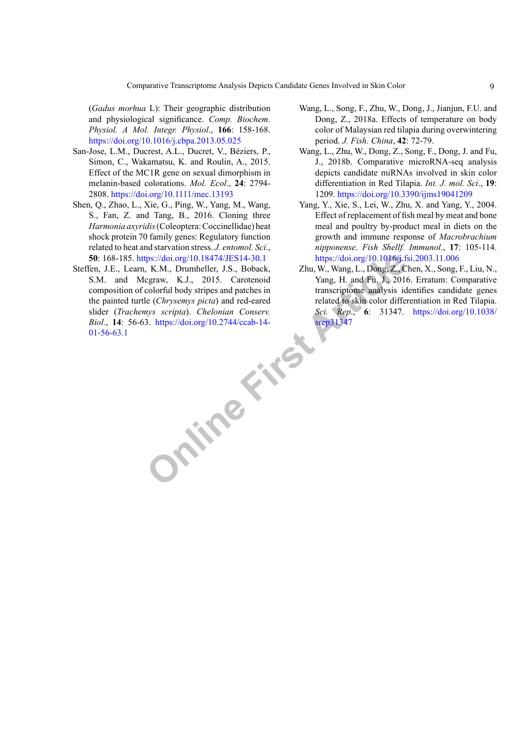(*Gadus morhua* L): Their geographic distribution and physiological significance. *Comp. Biochem. Physiol. A Mol. Integr. Physiol*., **166**: 158-168. <https://doi.org/10.1016/j.cbpa.2013.05.025>

- San-Jose, L.M., Ducrest, A.L., Ducret, V., Béziers, P., Simon, C., Wakamatsu, K. and Roulin, A., 2015. Effect of the MC1R gene on sexual dimorphism in melanin-based colorations. *Mol. Ecol*., **24**: 2794- 2808. <https://doi.org/10.1111/mec.13193>
- Shen, Q., Zhao, L., Xie, G., Ping, W., Yang, M., Wang, S., Fan, Z. and Tang, B., 2016. Cloning three *Harmonia axyridis* (Coleoptera: Coccinellidae) heat shock protein 70 family genes: Regulatory function related to heat and starvation stress. *J. entomol. Sci*., **50**: 168-185. https://doi.org/10.18474/JES14-30.1
- **ONLINE FIRST PARTIES** Steffen, J.E., Learn, K.M., Drumheller, J.S., Boback, S.M. and Mcgraw, K.J., 2015. Carotenoid composition of colorful body stripes and patches in the painted turtle (*Chrysemys picta*) and red-eared slider (*Trachemys scripta*). *Chelonian Conserv. Biol*., **14**: 56-63. https://doi.org/10.2744/ccab-14- [01-56-63.1](https://doi.org/10.2744/ccab-14-01-56-63.1)
- Wang, L., Song, F., Zhu, W., Dong, J., Jianjun, F.U. and Dong, Z., 2018a. Effects of temperature on body color of Malaysian red tilapia during overwintering period. *J. Fish. China*, **42**: 72-79.
- Wang, L., Zhu, W., Dong, Z., Song, F., Dong, J. and Fu, J., 2018b. Comparative microRNA-seq analysis depicts candidate miRNAs involved in skin color differentiation in Red Tilapia. *Int. J. mol. Sci*., **19**: 1209.<https://doi.org/10.3390/ijms19041209>
- Yang, Y., Xie, S., Lei, W., Zhu, X. and Yang, Y., 2004. Effect of replacement of fish meal by meat and bone meal and poultry by-product meal in diets on the growth and immune response of *Macrobrachium nipponense*. *Fish Shellf. Immunol*., **17**: 105-114. <https://doi.org/10.1016/j.fsi.2003.11.006>
- Zhu, W., Wang, L., Dong, Z., Chen, X., Song, F., Liu, N., Yang, H. and Fu, J., 2016. Erratum: Comparative transcriptome analysis identifies candidate genes related to skin color differentiation in Red Tilapia. *Sci. Rep*., **6**: 31347. [https://doi.org/10.1038/](https://doi.org/10.1038/srep31347) srep31347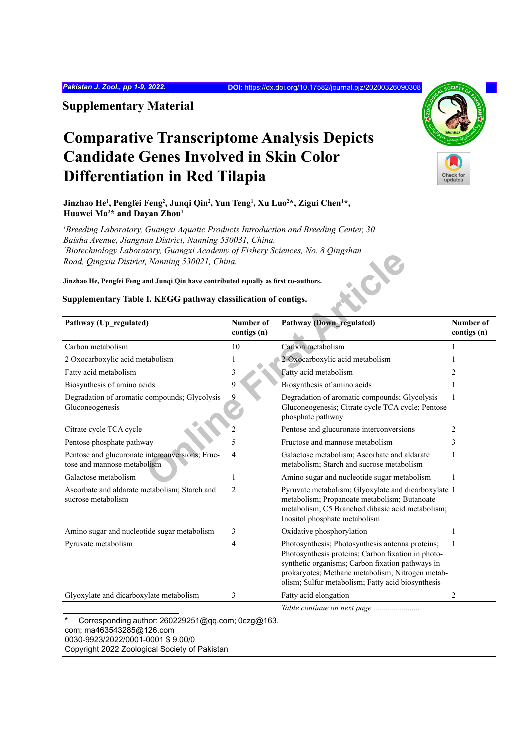**Supplementary Material**

# **Comparative Transcriptome Analysis Depicts Candidate Genes Involved in Skin Color Differentiation in Red Tilapia**

Jinzhao He<sup>1</sup>, Pengfei Feng<sup>2</sup>, Junqi Qin<sup>2</sup>, Yun Teng<sup>1</sup>, Xu Luo<sup>2</sup>\*, Zigui Chen<sup>1</sup>\*, **Huawei Ma2 \* and Dayan Zhou1**

*1 Breeding Laboratory, Guangxi Aquatic Products Introduction and Breeding Center, 30 Baisha Avenue, Jiangnan District, Nanning 530031, China. 2 Biotechnology Laboratory, Guangxi Academy of Fishery Sciences, No. 8 Qingshan Road, Qingxiu District, Nanning 530021, China.*

### **Supplementary Table I. KEGG pathway classification of contigs.**

| Jinzhao He, Pengfei Feng and Junqi Qin have contributed equally as first co-authors. |                          |                                                                                                                                                                                                                                                                     |                          |
|--------------------------------------------------------------------------------------|--------------------------|---------------------------------------------------------------------------------------------------------------------------------------------------------------------------------------------------------------------------------------------------------------------|--------------------------|
| Supplementary Table I. KEGG pathway classification of contigs.                       |                          |                                                                                                                                                                                                                                                                     |                          |
| Pathway (Up_regulated)                                                               | Number of<br>contigs (n) | Pathway (Down regulated)                                                                                                                                                                                                                                            | Number of<br>contigs (n) |
| Carbon metabolism                                                                    | 10                       | Carbon metabolism                                                                                                                                                                                                                                                   | 1                        |
| 2 Oxocarboxylic acid metabolism                                                      |                          | 2-Oxocarboxylic acid metabolism                                                                                                                                                                                                                                     |                          |
| Fatty acid metabolism                                                                | 3                        | Fatty acid metabolism                                                                                                                                                                                                                                               | 2                        |
| Biosynthesis of amino acids                                                          | 9                        | Biosynthesis of amino acids                                                                                                                                                                                                                                         |                          |
| Degradation of aromatic compounds; Glycolysis<br>Gluconeogenesis                     |                          | Degradation of aromatic compounds; Glycolysis<br>Gluconeogenesis; Citrate cycle TCA cycle; Pentose<br>phosphate pathway                                                                                                                                             | 1                        |
| Citrate cycle TCA cycle                                                              |                          | Pentose and glucuronate interconversions                                                                                                                                                                                                                            | 2                        |
| Pentose phosphate pathway                                                            | 5                        | Fructose and mannose metabolism                                                                                                                                                                                                                                     | 3                        |
| Pentose and glucuronate interconversions; Fruc-<br>tose and mannose metabolism       | 4                        | Galactose metabolism; Ascorbate and aldarate<br>metabolism; Starch and sucrose metabolism                                                                                                                                                                           | 1                        |
| Galactose metabolism                                                                 | 1                        | Amino sugar and nucleotide sugar metabolism                                                                                                                                                                                                                         | 1                        |
| Ascorbate and aldarate metabolism; Starch and<br>sucrose metabolism                  | $\overline{2}$           | Pyruvate metabolism; Glyoxylate and dicarboxylate 1<br>metabolism; Propanoate metabolism; Butanoate<br>metabolism; C5 Branched dibasic acid metabolism;<br>Inositol phosphate metabolism                                                                            |                          |
| Amino sugar and nucleotide sugar metabolism                                          | 3                        | Oxidative phosphorylation                                                                                                                                                                                                                                           |                          |
| Pyruvate metabolism                                                                  | 4                        | Photosynthesis; Photosynthesis antenna proteins;<br>Photosynthesis proteins; Carbon fixation in photo-<br>synthetic organisms; Carbon fixation pathways in<br>prokaryotes; Methane metabolism; Nitrogen metab-<br>olism; Sulfur metabolism; Fatty acid biosynthesis | 1                        |
| Glyoxylate and dicarboxylate metabolism                                              | 3                        | Fatty acid elongation                                                                                                                                                                                                                                               | 2                        |
|                                                                                      |                          | Table continue on next page                                                                                                                                                                                                                                         |                          |

0030-9923/2022/0001-0001 \$ 9.00/0

Copyright 2022 Zoological Society of Pakistan

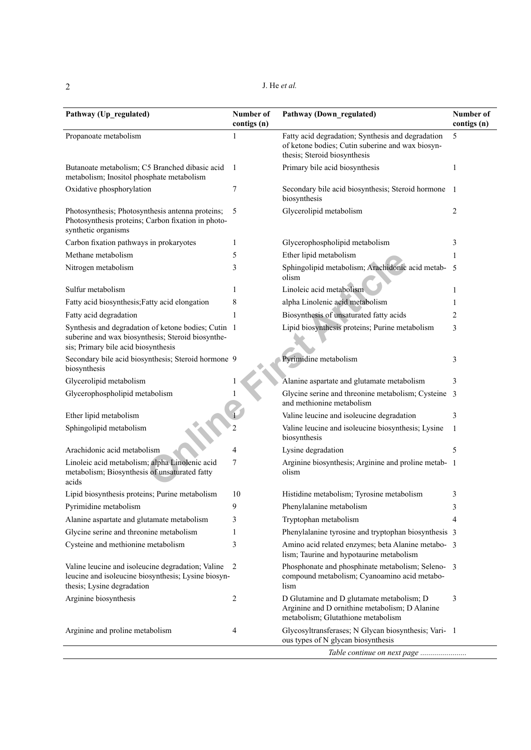| Fatty acid degradation; Synthesis and degradation<br>5<br>Propanoate metabolism<br>1<br>of ketone bodies; Cutin suberine and wax biosyn-<br>thesis; Steroid biosynthesis<br>Primary bile acid biosynthesis<br>Butanoate metabolism; C5 Branched dibasic acid<br>1<br>1<br>metabolism; Inositol phosphate metabolism<br>Oxidative phosphorylation<br>7<br>Secondary bile acid biosynthesis; Steroid hormone<br>-1<br>biosynthesis<br>Photosynthesis; Photosynthesis antenna proteins;<br>Glycerolipid metabolism<br>5<br>2<br>Photosynthesis proteins; Carbon fixation in photo-<br>synthetic organisms<br>Carbon fixation pathways in prokaryotes<br>Glycerophospholipid metabolism<br>1<br>3<br>Methane metabolism<br>Ether lipid metabolism<br>5<br>Sphingolipid metabolism; Arachidonic acid metab-<br>3<br>Nitrogen metabolism<br>- 5<br>olism<br>Linoleic acid metabolism<br>Sulfur metabolism<br>1<br>alpha Linolenic acid metabolism<br>Fatty acid biosynthesis; Fatty acid elongation<br>8<br>Biosynthesis of unsaturated fatty acids<br>Fatty acid degradation<br>1<br>2<br>Lipid biosynthesis proteins; Purine metabolism<br>Synthesis and degradation of ketone bodies; Cutin 1<br>3<br>suberine and wax biosynthesis; Steroid biosynthe-<br>sis; Primary bile acid biosynthesis<br>Secondary bile acid biosynthesis; Steroid hormone 9<br>Pyrimidine metabolism<br>3<br>biosynthesis<br>Glycerolipid metabolism<br>Alanine aspartate and glutamate metabolism<br>3<br>Glycine serine and threonine metabolism; Cysteine 3<br>Glycerophospholipid metabolism<br>and methionine metabolism<br>Valine leucine and isoleucine degradation<br>Ether lipid metabolism<br>3<br>Valine leucine and isoleucine biosynthesis; Lysine<br>Sphingolipid metabolism<br>1<br>biosynthesis<br>Arachidonic acid metabolism<br>Lysine degradation<br>4<br>5<br>Linoleic acid metabolism; alpha Linolenic acid<br>7<br>Arginine biosynthesis; Arginine and proline metab-1<br>metabolism; Biosynthesis of unsaturated fatty<br>olism<br>acids<br>Lipid biosynthesis proteins; Purine metabolism<br>Histidine metabolism; Tyrosine metabolism<br>10<br>3<br>Pyrimidine metabolism<br>9<br>Phenylalanine metabolism<br>3<br>3<br>Tryptophan metabolism<br>Alanine aspartate and glutamate metabolism<br>4<br>Glycine serine and threonine metabolism<br>Phenylalanine tyrosine and tryptophan biosynthesis 3<br>1<br>Cysteine and methionine metabolism<br>3<br>Amino acid related enzymes; beta Alanine metabo- 3<br>lism; Taurine and hypotaurine metabolism<br>Valine leucine and isoleucine degradation; Valine<br>Phosphonate and phosphinate metabolism; Seleno-3<br>2<br>leucine and isoleucine biosynthesis; Lysine biosyn-<br>compound metabolism; Cyanoamino acid metabo-<br>thesis; Lysine degradation<br>lism<br>Arginine biosynthesis<br>2<br>D Glutamine and D glutamate metabolism; D<br>3<br>Arginine and D ornithine metabolism; D Alanine<br>metabolism; Glutathione metabolism<br>Arginine and proline metabolism<br>Glycosyltransferases; N Glycan biosynthesis; Vari- 1<br>4<br>ous types of N glycan biosynthesis | Pathway (Up_regulated) | Number of<br>contigs (n) | Pathway (Down_regulated) | Number of<br>contigs (n) |
|--------------------------------------------------------------------------------------------------------------------------------------------------------------------------------------------------------------------------------------------------------------------------------------------------------------------------------------------------------------------------------------------------------------------------------------------------------------------------------------------------------------------------------------------------------------------------------------------------------------------------------------------------------------------------------------------------------------------------------------------------------------------------------------------------------------------------------------------------------------------------------------------------------------------------------------------------------------------------------------------------------------------------------------------------------------------------------------------------------------------------------------------------------------------------------------------------------------------------------------------------------------------------------------------------------------------------------------------------------------------------------------------------------------------------------------------------------------------------------------------------------------------------------------------------------------------------------------------------------------------------------------------------------------------------------------------------------------------------------------------------------------------------------------------------------------------------------------------------------------------------------------------------------------------------------------------------------------------------------------------------------------------------------------------------------------------------------------------------------------------------------------------------------------------------------------------------------------------------------------------------------------------------------------------------------------------------------------------------------------------------------------------------------------------------------------------------------------------------------------------------------------------------------------------------------------------------------------------------------------------------------------------------------------------------------------------------------------------------------------------------------------------------------------------------------------------------------------------------------------------------------------------------------------------------------------------------------------------------------------------------------------------------------------------------------------------------------------------------------------------------------|------------------------|--------------------------|--------------------------|--------------------------|
|                                                                                                                                                                                                                                                                                                                                                                                                                                                                                                                                                                                                                                                                                                                                                                                                                                                                                                                                                                                                                                                                                                                                                                                                                                                                                                                                                                                                                                                                                                                                                                                                                                                                                                                                                                                                                                                                                                                                                                                                                                                                                                                                                                                                                                                                                                                                                                                                                                                                                                                                                                                                                                                                                                                                                                                                                                                                                                                                                                                                                                                                                                                                |                        |                          |                          |                          |
|                                                                                                                                                                                                                                                                                                                                                                                                                                                                                                                                                                                                                                                                                                                                                                                                                                                                                                                                                                                                                                                                                                                                                                                                                                                                                                                                                                                                                                                                                                                                                                                                                                                                                                                                                                                                                                                                                                                                                                                                                                                                                                                                                                                                                                                                                                                                                                                                                                                                                                                                                                                                                                                                                                                                                                                                                                                                                                                                                                                                                                                                                                                                |                        |                          |                          |                          |
|                                                                                                                                                                                                                                                                                                                                                                                                                                                                                                                                                                                                                                                                                                                                                                                                                                                                                                                                                                                                                                                                                                                                                                                                                                                                                                                                                                                                                                                                                                                                                                                                                                                                                                                                                                                                                                                                                                                                                                                                                                                                                                                                                                                                                                                                                                                                                                                                                                                                                                                                                                                                                                                                                                                                                                                                                                                                                                                                                                                                                                                                                                                                |                        |                          |                          |                          |
|                                                                                                                                                                                                                                                                                                                                                                                                                                                                                                                                                                                                                                                                                                                                                                                                                                                                                                                                                                                                                                                                                                                                                                                                                                                                                                                                                                                                                                                                                                                                                                                                                                                                                                                                                                                                                                                                                                                                                                                                                                                                                                                                                                                                                                                                                                                                                                                                                                                                                                                                                                                                                                                                                                                                                                                                                                                                                                                                                                                                                                                                                                                                |                        |                          |                          |                          |
|                                                                                                                                                                                                                                                                                                                                                                                                                                                                                                                                                                                                                                                                                                                                                                                                                                                                                                                                                                                                                                                                                                                                                                                                                                                                                                                                                                                                                                                                                                                                                                                                                                                                                                                                                                                                                                                                                                                                                                                                                                                                                                                                                                                                                                                                                                                                                                                                                                                                                                                                                                                                                                                                                                                                                                                                                                                                                                                                                                                                                                                                                                                                |                        |                          |                          |                          |
|                                                                                                                                                                                                                                                                                                                                                                                                                                                                                                                                                                                                                                                                                                                                                                                                                                                                                                                                                                                                                                                                                                                                                                                                                                                                                                                                                                                                                                                                                                                                                                                                                                                                                                                                                                                                                                                                                                                                                                                                                                                                                                                                                                                                                                                                                                                                                                                                                                                                                                                                                                                                                                                                                                                                                                                                                                                                                                                                                                                                                                                                                                                                |                        |                          |                          |                          |
|                                                                                                                                                                                                                                                                                                                                                                                                                                                                                                                                                                                                                                                                                                                                                                                                                                                                                                                                                                                                                                                                                                                                                                                                                                                                                                                                                                                                                                                                                                                                                                                                                                                                                                                                                                                                                                                                                                                                                                                                                                                                                                                                                                                                                                                                                                                                                                                                                                                                                                                                                                                                                                                                                                                                                                                                                                                                                                                                                                                                                                                                                                                                |                        |                          |                          |                          |
|                                                                                                                                                                                                                                                                                                                                                                                                                                                                                                                                                                                                                                                                                                                                                                                                                                                                                                                                                                                                                                                                                                                                                                                                                                                                                                                                                                                                                                                                                                                                                                                                                                                                                                                                                                                                                                                                                                                                                                                                                                                                                                                                                                                                                                                                                                                                                                                                                                                                                                                                                                                                                                                                                                                                                                                                                                                                                                                                                                                                                                                                                                                                |                        |                          |                          |                          |
|                                                                                                                                                                                                                                                                                                                                                                                                                                                                                                                                                                                                                                                                                                                                                                                                                                                                                                                                                                                                                                                                                                                                                                                                                                                                                                                                                                                                                                                                                                                                                                                                                                                                                                                                                                                                                                                                                                                                                                                                                                                                                                                                                                                                                                                                                                                                                                                                                                                                                                                                                                                                                                                                                                                                                                                                                                                                                                                                                                                                                                                                                                                                |                        |                          |                          |                          |
|                                                                                                                                                                                                                                                                                                                                                                                                                                                                                                                                                                                                                                                                                                                                                                                                                                                                                                                                                                                                                                                                                                                                                                                                                                                                                                                                                                                                                                                                                                                                                                                                                                                                                                                                                                                                                                                                                                                                                                                                                                                                                                                                                                                                                                                                                                                                                                                                                                                                                                                                                                                                                                                                                                                                                                                                                                                                                                                                                                                                                                                                                                                                |                        |                          |                          |                          |
|                                                                                                                                                                                                                                                                                                                                                                                                                                                                                                                                                                                                                                                                                                                                                                                                                                                                                                                                                                                                                                                                                                                                                                                                                                                                                                                                                                                                                                                                                                                                                                                                                                                                                                                                                                                                                                                                                                                                                                                                                                                                                                                                                                                                                                                                                                                                                                                                                                                                                                                                                                                                                                                                                                                                                                                                                                                                                                                                                                                                                                                                                                                                |                        |                          |                          |                          |
|                                                                                                                                                                                                                                                                                                                                                                                                                                                                                                                                                                                                                                                                                                                                                                                                                                                                                                                                                                                                                                                                                                                                                                                                                                                                                                                                                                                                                                                                                                                                                                                                                                                                                                                                                                                                                                                                                                                                                                                                                                                                                                                                                                                                                                                                                                                                                                                                                                                                                                                                                                                                                                                                                                                                                                                                                                                                                                                                                                                                                                                                                                                                |                        |                          |                          |                          |
|                                                                                                                                                                                                                                                                                                                                                                                                                                                                                                                                                                                                                                                                                                                                                                                                                                                                                                                                                                                                                                                                                                                                                                                                                                                                                                                                                                                                                                                                                                                                                                                                                                                                                                                                                                                                                                                                                                                                                                                                                                                                                                                                                                                                                                                                                                                                                                                                                                                                                                                                                                                                                                                                                                                                                                                                                                                                                                                                                                                                                                                                                                                                |                        |                          |                          |                          |
|                                                                                                                                                                                                                                                                                                                                                                                                                                                                                                                                                                                                                                                                                                                                                                                                                                                                                                                                                                                                                                                                                                                                                                                                                                                                                                                                                                                                                                                                                                                                                                                                                                                                                                                                                                                                                                                                                                                                                                                                                                                                                                                                                                                                                                                                                                                                                                                                                                                                                                                                                                                                                                                                                                                                                                                                                                                                                                                                                                                                                                                                                                                                |                        |                          |                          |                          |
|                                                                                                                                                                                                                                                                                                                                                                                                                                                                                                                                                                                                                                                                                                                                                                                                                                                                                                                                                                                                                                                                                                                                                                                                                                                                                                                                                                                                                                                                                                                                                                                                                                                                                                                                                                                                                                                                                                                                                                                                                                                                                                                                                                                                                                                                                                                                                                                                                                                                                                                                                                                                                                                                                                                                                                                                                                                                                                                                                                                                                                                                                                                                |                        |                          |                          |                          |
|                                                                                                                                                                                                                                                                                                                                                                                                                                                                                                                                                                                                                                                                                                                                                                                                                                                                                                                                                                                                                                                                                                                                                                                                                                                                                                                                                                                                                                                                                                                                                                                                                                                                                                                                                                                                                                                                                                                                                                                                                                                                                                                                                                                                                                                                                                                                                                                                                                                                                                                                                                                                                                                                                                                                                                                                                                                                                                                                                                                                                                                                                                                                |                        |                          |                          |                          |
|                                                                                                                                                                                                                                                                                                                                                                                                                                                                                                                                                                                                                                                                                                                                                                                                                                                                                                                                                                                                                                                                                                                                                                                                                                                                                                                                                                                                                                                                                                                                                                                                                                                                                                                                                                                                                                                                                                                                                                                                                                                                                                                                                                                                                                                                                                                                                                                                                                                                                                                                                                                                                                                                                                                                                                                                                                                                                                                                                                                                                                                                                                                                |                        |                          |                          |                          |
|                                                                                                                                                                                                                                                                                                                                                                                                                                                                                                                                                                                                                                                                                                                                                                                                                                                                                                                                                                                                                                                                                                                                                                                                                                                                                                                                                                                                                                                                                                                                                                                                                                                                                                                                                                                                                                                                                                                                                                                                                                                                                                                                                                                                                                                                                                                                                                                                                                                                                                                                                                                                                                                                                                                                                                                                                                                                                                                                                                                                                                                                                                                                |                        |                          |                          |                          |
|                                                                                                                                                                                                                                                                                                                                                                                                                                                                                                                                                                                                                                                                                                                                                                                                                                                                                                                                                                                                                                                                                                                                                                                                                                                                                                                                                                                                                                                                                                                                                                                                                                                                                                                                                                                                                                                                                                                                                                                                                                                                                                                                                                                                                                                                                                                                                                                                                                                                                                                                                                                                                                                                                                                                                                                                                                                                                                                                                                                                                                                                                                                                |                        |                          |                          |                          |
|                                                                                                                                                                                                                                                                                                                                                                                                                                                                                                                                                                                                                                                                                                                                                                                                                                                                                                                                                                                                                                                                                                                                                                                                                                                                                                                                                                                                                                                                                                                                                                                                                                                                                                                                                                                                                                                                                                                                                                                                                                                                                                                                                                                                                                                                                                                                                                                                                                                                                                                                                                                                                                                                                                                                                                                                                                                                                                                                                                                                                                                                                                                                |                        |                          |                          |                          |
|                                                                                                                                                                                                                                                                                                                                                                                                                                                                                                                                                                                                                                                                                                                                                                                                                                                                                                                                                                                                                                                                                                                                                                                                                                                                                                                                                                                                                                                                                                                                                                                                                                                                                                                                                                                                                                                                                                                                                                                                                                                                                                                                                                                                                                                                                                                                                                                                                                                                                                                                                                                                                                                                                                                                                                                                                                                                                                                                                                                                                                                                                                                                |                        |                          |                          |                          |
|                                                                                                                                                                                                                                                                                                                                                                                                                                                                                                                                                                                                                                                                                                                                                                                                                                                                                                                                                                                                                                                                                                                                                                                                                                                                                                                                                                                                                                                                                                                                                                                                                                                                                                                                                                                                                                                                                                                                                                                                                                                                                                                                                                                                                                                                                                                                                                                                                                                                                                                                                                                                                                                                                                                                                                                                                                                                                                                                                                                                                                                                                                                                |                        |                          |                          |                          |
|                                                                                                                                                                                                                                                                                                                                                                                                                                                                                                                                                                                                                                                                                                                                                                                                                                                                                                                                                                                                                                                                                                                                                                                                                                                                                                                                                                                                                                                                                                                                                                                                                                                                                                                                                                                                                                                                                                                                                                                                                                                                                                                                                                                                                                                                                                                                                                                                                                                                                                                                                                                                                                                                                                                                                                                                                                                                                                                                                                                                                                                                                                                                |                        |                          |                          |                          |
|                                                                                                                                                                                                                                                                                                                                                                                                                                                                                                                                                                                                                                                                                                                                                                                                                                                                                                                                                                                                                                                                                                                                                                                                                                                                                                                                                                                                                                                                                                                                                                                                                                                                                                                                                                                                                                                                                                                                                                                                                                                                                                                                                                                                                                                                                                                                                                                                                                                                                                                                                                                                                                                                                                                                                                                                                                                                                                                                                                                                                                                                                                                                |                        |                          |                          |                          |
|                                                                                                                                                                                                                                                                                                                                                                                                                                                                                                                                                                                                                                                                                                                                                                                                                                                                                                                                                                                                                                                                                                                                                                                                                                                                                                                                                                                                                                                                                                                                                                                                                                                                                                                                                                                                                                                                                                                                                                                                                                                                                                                                                                                                                                                                                                                                                                                                                                                                                                                                                                                                                                                                                                                                                                                                                                                                                                                                                                                                                                                                                                                                |                        |                          |                          |                          |
|                                                                                                                                                                                                                                                                                                                                                                                                                                                                                                                                                                                                                                                                                                                                                                                                                                                                                                                                                                                                                                                                                                                                                                                                                                                                                                                                                                                                                                                                                                                                                                                                                                                                                                                                                                                                                                                                                                                                                                                                                                                                                                                                                                                                                                                                                                                                                                                                                                                                                                                                                                                                                                                                                                                                                                                                                                                                                                                                                                                                                                                                                                                                |                        |                          |                          |                          |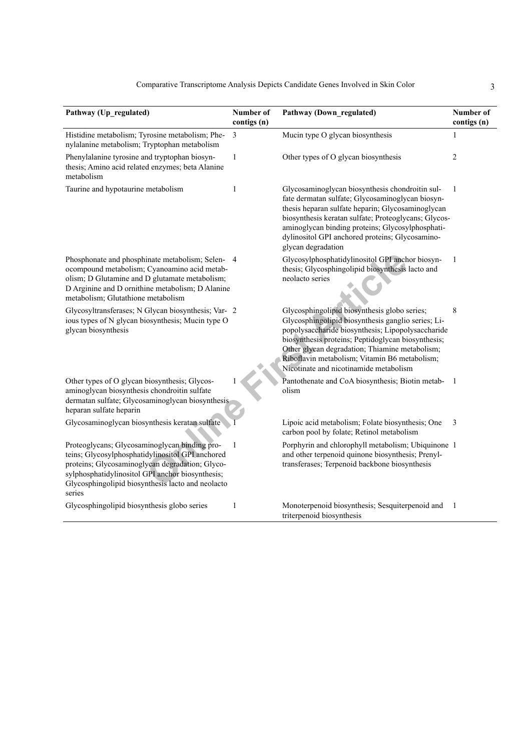| Pathway (Up_regulated)                                                                                                                                                                                                                                                  | Number of<br>contigs (n) | Pathway (Down_regulated)                                                                                                                                                                                                                                                                                                                                   | Number of<br>contigs (n) |
|-------------------------------------------------------------------------------------------------------------------------------------------------------------------------------------------------------------------------------------------------------------------------|--------------------------|------------------------------------------------------------------------------------------------------------------------------------------------------------------------------------------------------------------------------------------------------------------------------------------------------------------------------------------------------------|--------------------------|
| Histidine metabolism; Tyrosine metabolism; Phe-<br>nylalanine metabolism; Tryptophan metabolism                                                                                                                                                                         | 3                        | Mucin type O glycan biosynthesis                                                                                                                                                                                                                                                                                                                           | 1                        |
| Phenylalanine tyrosine and tryptophan biosyn-<br>thesis; Amino acid related enzymes; beta Alanine<br>metabolism                                                                                                                                                         | $\mathbf{1}$             | Other types of O glycan biosynthesis                                                                                                                                                                                                                                                                                                                       | $\overline{2}$           |
| Taurine and hypotaurine metabolism                                                                                                                                                                                                                                      | $\mathbf{1}$             | Glycosaminoglycan biosynthesis chondroitin sul-<br>fate dermatan sulfate; Glycosaminoglycan biosyn-<br>thesis heparan sulfate heparin; Glycosaminoglycan<br>biosynthesis keratan sulfate; Proteoglycans; Glycos-<br>aminoglycan binding proteins; Glycosylphosphati-<br>dylinositol GPI anchored proteins; Glycosamino-<br>glycan degradation              | 1                        |
| Phosphonate and phosphinate metabolism; Selen-4<br>ocompound metabolism; Cyanoamino acid metab-<br>olism; D Glutamine and D glutamate metabolism;<br>D Arginine and D ornithine metabolism; D Alanine<br>metabolism; Glutathione metabolism                             |                          | Glycosylphosphatidylinositol GPI anchor biosyn-<br>thesis; Glycosphingolipid biosynthesis lacto and<br>neolacto series                                                                                                                                                                                                                                     | 1                        |
| Glycosyltransferases; N Glycan biosynthesis; Var- 2<br>ious types of N glycan biosynthesis; Mucin type O<br>glycan biosynthesis                                                                                                                                         |                          | Glycosphingolipid biosynthesis globo series;<br>Glycosphingolipid biosynthesis ganglio series; Li-<br>popolysaccharide biosynthesis; Lipopolysaccharide<br>biosynthesis proteins; Peptidoglycan biosynthesis;<br>Other glycan degradation; Thiamine metabolism;<br>Riboflavin metabolism; Vitamin B6 metabolism;<br>Nicotinate and nicotinamide metabolism | 8                        |
| Other types of O glycan biosynthesis; Glycos-<br>aminoglycan biosynthesis chondroitin sulfate<br>dermatan sulfate; Glycosaminoglycan biosynthesis<br>heparan sulfate heparin                                                                                            |                          | Pantothenate and CoA biosynthesis; Biotin metab-<br>olism                                                                                                                                                                                                                                                                                                  | -1                       |
| Glycosaminoglycan biosynthesis keratan sulfate                                                                                                                                                                                                                          |                          | Lipoic acid metabolism; Folate biosynthesis; One<br>carbon pool by folate; Retinol metabolism                                                                                                                                                                                                                                                              | 3                        |
| Proteoglycans; Glycosaminoglycan binding pro-<br>teins; Glycosylphosphatidylinositol GPI anchored<br>proteins; Glycosaminoglycan degradation; Glyco-<br>sylphosphatidylinositol GPI anchor biosynthesis;<br>Glycosphingolipid biosynthesis lacto and neolacto<br>series | 1                        | Porphyrin and chlorophyll metabolism; Ubiquinone 1<br>and other terpenoid quinone biosynthesis; Prenyl-<br>transferases; Terpenoid backbone biosynthesis                                                                                                                                                                                                   |                          |
| Glycosphingolipid biosynthesis globo series                                                                                                                                                                                                                             | 1                        | Monoterpenoid biosynthesis; Sesquiterpenoid and<br>triterpenoid biosynthesis                                                                                                                                                                                                                                                                               | 1                        |

# Comparative Transcriptome Analysis Depicts Candidate Genes Involved in Skin Color 3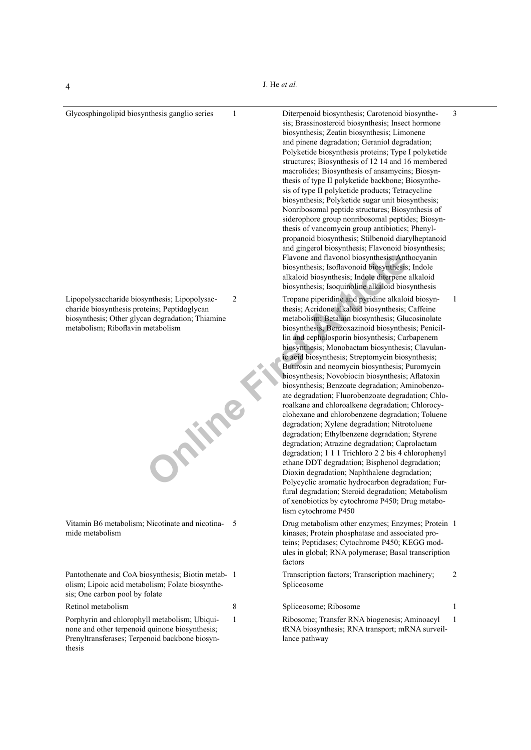| Glycosphingolipid biosynthesis ganglio series                                                                                                                                                      | $\mathbf{1}$   | Diterpenoid biosynthesis; Carotenoid biosynthe-<br>sis; Brassinosteroid biosynthesis; Insect hormone<br>biosynthesis; Zeatin biosynthesis; Limonene<br>and pinene degradation; Geraniol degradation;<br>Polyketide biosynthesis proteins; Type I polyketide<br>structures; Biosynthesis of 12 14 and 16 membered<br>macrolides; Biosynthesis of ansamycins; Biosyn-<br>thesis of type II polyketide backbone; Biosynthe-<br>sis of type II polyketide products; Tetracycline<br>biosynthesis; Polyketide sugar unit biosynthesis;<br>Nonribosomal peptide structures; Biosynthesis of<br>siderophore group nonribosomal peptides; Biosyn-<br>thesis of vancomycin group antibiotics; Phenyl-<br>propanoid biosynthesis; Stilbenoid diarylheptanoid<br>and gingerol biosynthesis; Flavonoid biosynthesis;<br>Flavone and flavonol biosynthesis; Anthocyanin<br>biosynthesis; Isoflavonoid biosynthesis; Indole<br>alkaloid biosynthesis; Indole diterpene alkaloid<br>biosynthesis; Isoquinoline alkaloid biosynthesis                                                                                                                                                                               | 3            |
|----------------------------------------------------------------------------------------------------------------------------------------------------------------------------------------------------|----------------|-----------------------------------------------------------------------------------------------------------------------------------------------------------------------------------------------------------------------------------------------------------------------------------------------------------------------------------------------------------------------------------------------------------------------------------------------------------------------------------------------------------------------------------------------------------------------------------------------------------------------------------------------------------------------------------------------------------------------------------------------------------------------------------------------------------------------------------------------------------------------------------------------------------------------------------------------------------------------------------------------------------------------------------------------------------------------------------------------------------------------------------------------------------------------------------------------------|--------------|
| Lipopolysaccharide biosynthesis; Lipopolysac-<br>charide biosynthesis proteins; Peptidoglycan<br>biosynthesis; Other glycan degradation; Thiamine<br>metabolism; Riboflavin metabolism<br>Jointe F | $\overline{2}$ | Tropane piperidine and pyridine alkaloid biosyn-<br>thesis; Acridone alkaloid biosynthesis; Caffeine<br>metabolism; Betalain biosynthesis; Glucosinolate<br>biosynthesis; Benzoxazinoid biosynthesis; Penicil-<br>lin and cephalosporin biosynthesis; Carbapenem<br>biosynthesis; Monobactam biosynthesis; Clavulan-<br>ic acid biosynthesis; Streptomycin biosynthesis;<br>Butirosin and neomycin biosynthesis; Puromycin<br>biosynthesis; Novobiocin biosynthesis; Aflatoxin<br>biosynthesis; Benzoate degradation; Aminobenzo-<br>ate degradation; Fluorobenzoate degradation; Chlo-<br>roalkane and chloroalkene degradation; Chlorocy-<br>clohexane and chlorobenzene degradation; Toluene<br>degradation; Xylene degradation; Nitrotoluene<br>degradation; Ethylbenzene degradation; Styrene<br>degradation; Atrazine degradation; Caprolactam<br>degradation; 1 1 1 Trichloro 2 2 bis 4 chlorophenyl<br>ethane DDT degradation; Bisphenol degradation;<br>Dioxin degradation; Naphthalene degradation;<br>Polycyclic aromatic hydrocarbon degradation; Fur-<br>fural degradation; Steroid degradation; Metabolism<br>of xenobiotics by cytochrome P450; Drug metabo-<br>lism cytochrome P450 | $\mathbf{1}$ |
| Vitamin B6 metabolism; Nicotinate and nicotina-<br>mide metabolism                                                                                                                                 | 5              | Drug metabolism other enzymes; Enzymes; Protein 1<br>kinases; Protein phosphatase and associated pro-<br>teins; Peptidases; Cytochrome P450; KEGG mod-<br>ules in global; RNA polymerase; Basal transcription<br>factors                                                                                                                                                                                                                                                                                                                                                                                                                                                                                                                                                                                                                                                                                                                                                                                                                                                                                                                                                                            |              |
| Pantothenate and CoA biosynthesis; Biotin metab- 1<br>olism; Lipoic acid metabolism; Folate biosynthe-<br>sis; One carbon pool by folate                                                           |                | Transcription factors; Transcription machinery;<br>Spliceosome                                                                                                                                                                                                                                                                                                                                                                                                                                                                                                                                                                                                                                                                                                                                                                                                                                                                                                                                                                                                                                                                                                                                      | 2            |
| Retinol metabolism                                                                                                                                                                                 | 8              | Spliceosome; Ribosome                                                                                                                                                                                                                                                                                                                                                                                                                                                                                                                                                                                                                                                                                                                                                                                                                                                                                                                                                                                                                                                                                                                                                                               | 1            |
| Porphyrin and chlorophyll metabolism; Ubiqui-<br>none and other terpenoid quinone biosynthesis;<br>Prenyltransferases; Terpenoid backbone biosyn-<br>thesis                                        | 1              | Ribosome; Transfer RNA biogenesis; Aminoacyl<br>tRNA biosynthesis; RNA transport; mRNA surveil-<br>lance pathway                                                                                                                                                                                                                                                                                                                                                                                                                                                                                                                                                                                                                                                                                                                                                                                                                                                                                                                                                                                                                                                                                    | 1            |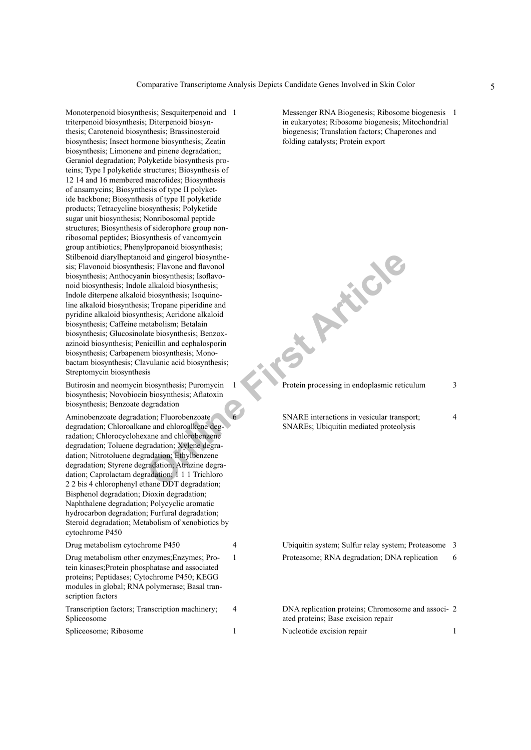Monoterpenoid biosynthesis; Sesquiterpenoid and 1 triterpenoid biosynthesis; Diterpenoid biosynthesis; Carotenoid biosynthesis; Brassinosteroid biosynthesis; Insect hormone biosynthesis; Zeatin biosynthesis; Limonene and pinene degradation; Geraniol degradation; Polyketide biosynthesis proteins; Type I polyketide structures; Biosynthesis of 12 14 and 16 membered macrolides; Biosynthesis of ansamycins; Biosynthesis of type II polyketide backbone; Biosynthesis of type II polyketide products; Tetracycline biosynthesis; Polyketide sugar unit biosynthesis; Nonribosomal peptide structures; Biosynthesis of siderophore group nonribosomal peptides; Biosynthesis of vancomycin group antibiotics; Phenylpropanoid biosynthesis; Stilbenoid diarylheptanoid and gingerol biosynthesis; Flavonoid biosynthesis; Flavone and flavonol biosynthesis; Anthocyanin biosynthesis; Isoflavonoid biosynthesis; Indole alkaloid biosynthesis; Indole diterpene alkaloid biosynthesis; Isoquinoline alkaloid biosynthesis; Tropane piperidine and pyridine alkaloid biosynthesis; Acridone alkaloid biosynthesis; Caffeine metabolism; Betalain biosynthesis; Glucosinolate biosynthesis; Benzoxazinoid biosynthesis; Penicillin and cephalosporin biosynthesis; Carbapenem biosynthesis; Monobactam biosynthesis; Clavulanic acid biosynthesis; Streptomycin biosynthesis

Butirosin and neomycin biosynthesis; Puromycin biosynthesis; Novobiocin biosynthesis; Aflatoxin biosynthesis; Benzoate degradation

Aminobenzoate degradation; Fluorobenzoate degradation; Chloroalkane and chloroalkene degradation; Chlorocyclohexane and chlorobenzene degradation; Toluene degradation; Xylene degradation; Nitrotoluene degradation; Ethylbenzene degradation; Styrene degradation; Atrazine degradation; Caprolactam degradation; 1 1 1 Trichloro 2 2 bis 4 chlorophenyl ethane DDT degradation; Bisphenol degradation; Dioxin degradation; Naphthalene degradation; Polycyclic aromatic hydrocarbon degradation; Furfural degradation; Steroid degradation; Metabolism of xenobiotics by cytochrome P450

Drug metabolism other enzymes;Enzymes; Protein kinases;Protein phosphatase and associated proteins; Peptidases; Cytochrome P450; KEGG modules in global; RNA polymerase; Basal transcription factors Transcription factors; Transcription machinery; Spliceosome

1 Messenger RNA Biogenesis; Ribosome biogenesis 1 in eukaryotes; Ribosome biogenesis; Mitochondrial biogenesis; Translation factors; Chaperones and folding catalysts; Protein export

Protein processing in endoplasmic reticulum 3

**St. Principle** 

SNARE interactions in vesicular transport; SNAREs; Ubiquitin mediated proteolysis

4

Drug metabolism cytochrome P450 4 Ubiquitin system; Sulfur relay system; Proteasome 3 1 Proteasome; RNA degradation; DNA replication 6

4 DNA replication proteins; Chromosome and associ-2 ated proteins; Base excision repair Spliceosome; Ribosome 1 Nucleotide excision repair 1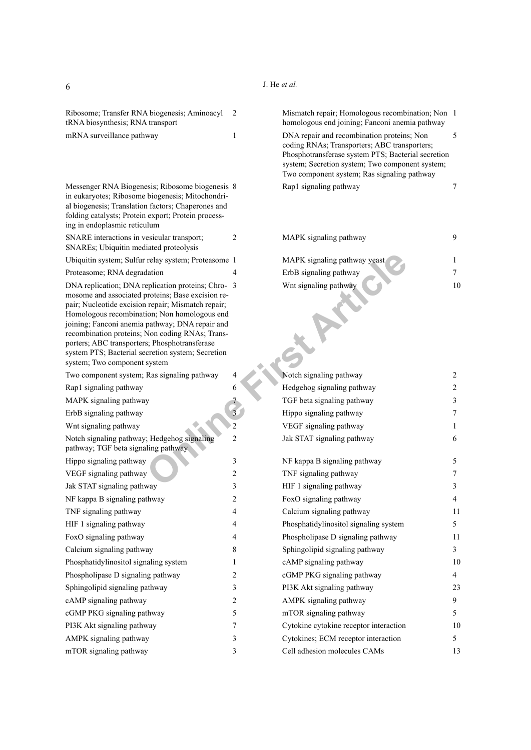| Ribosome: Transfer RNA biogenesis: Aminoacyl | $\overline{2}$ |
|----------------------------------------------|----------------|
| tRNA biosynthesis; RNA transport             |                |
| mRNA surveillance pathway                    |                |

| Messenger RNA Biogenesis; Ribosome biogenesis {<br>in eukaryotes; Ribosome biogenesis; Mitochondri-<br>al biogenesis; Translation factors; Chaperones and<br>folding catalysts; Protein export; Protein process-<br>ing in endoplasmic reticulum                                                                                                                                                                                                        |  |
|---------------------------------------------------------------------------------------------------------------------------------------------------------------------------------------------------------------------------------------------------------------------------------------------------------------------------------------------------------------------------------------------------------------------------------------------------------|--|
| SNARE interactions in vesicular transport;<br>SNAREs; Ubiquitin mediated proteolysis                                                                                                                                                                                                                                                                                                                                                                    |  |
| Ubiquitin system; Sulfur relay system; Proteasome                                                                                                                                                                                                                                                                                                                                                                                                       |  |
| Proteasome; RNA degradation                                                                                                                                                                                                                                                                                                                                                                                                                             |  |
| DNA replication; DNA replication proteins; Chro-<br>mosome and associated proteins; Base excision re-<br>pair; Nucleotide excision repair; Mismatch repair;<br>Homologous recombination; Non homologous end<br>joining; Fanconi anemia pathway; DNA repair and<br>recombination proteins; Non coding RNAs; Trans-<br>porters; ABC transporters; Phosphotransferase<br>system PTS; Bacterial secretion system; Secretion<br>system; Two component system |  |

| Rap1 signaling pathway                                                             | 6 | Hedgehog signaling pathway             |  |
|------------------------------------------------------------------------------------|---|----------------------------------------|--|
| MAPK signaling pathway                                                             |   | TGF beta signaling pathway             |  |
| ErbB signaling pathway                                                             |   | Hippo signaling pathway                |  |
| Wnt signaling pathway                                                              | 2 | VEGF signaling pathway                 |  |
| Notch signaling pathway; Hedgehog signaling<br>pathway; TGF beta signaling pathway | 2 | Jak STAT signaling pathway             |  |
| Hippo signaling pathway                                                            | 3 | NF kappa B signaling pathway           |  |
| VEGF signaling pathway                                                             | 2 | TNF signaling pathway                  |  |
| Jak STAT signaling pathway                                                         | 3 | HIF 1 signaling pathway                |  |
| NF kappa B signaling pathway                                                       | 2 | FoxO signaling pathway                 |  |
| TNF signaling pathway                                                              | 4 | Calcium signaling pathway              |  |
| HIF 1 signaling pathway                                                            | 4 | Phosphatidylinositol signaling system  |  |
| FoxO signaling pathway                                                             | 4 | Phospholipase D signaling pathway      |  |
| Calcium signaling pathway                                                          | 8 | Sphingolipid signaling pathway         |  |
| Phosphatidylinositol signaling system                                              |   | cAMP signaling pathway                 |  |
| Phospholipase D signaling pathway                                                  | 2 | cGMP PKG signaling pathway             |  |
| Sphingolipid signaling pathway                                                     | 3 | PI3K Akt signaling pathway             |  |
| cAMP signaling pathway                                                             | 2 | AMPK signaling pathway                 |  |
| cGMP PKG signaling pathway                                                         | 5 | mTOR signaling pathway                 |  |
| PI3K Akt signaling pathway                                                         | 7 | Cytokine cytokine receptor interaction |  |
| AMPK signaling pathway                                                             | 3 | Cytokines; ECM receptor interaction    |  |
| $TCD$ $T = 1$ $T = 1$                                                              |   | $C_1$ 1 1 1 $C_2$                      |  |

| 2 | Mismatch repair; Homologous recombination; Non 1<br>homologous end joining; Fanconi anemia pathway                                                                                                                                                 |  |
|---|----------------------------------------------------------------------------------------------------------------------------------------------------------------------------------------------------------------------------------------------------|--|
| 1 | DNA repair and recombination proteins; Non<br>coding RNAs; Transporters; ABC transporters;<br>Phosphotransferase system PTS; Bacterial secretion<br>system; Secretion system; Two component system;<br>Two component system; Ras signaling pathway |  |
| 8 | Rap1 signaling pathway                                                                                                                                                                                                                             |  |

| SNARE interactions in vesicular transport:          | MAPK signaling pathway       |    |
|-----------------------------------------------------|------------------------------|----|
| SNAREs; Ubiquitin mediated proteolysis              |                              |    |
| Ubiquitin system; Sulfur relay system; Proteasome 1 | MAPK signaling pathway yeast |    |
| Proteasome: RNA degradation                         | ErbB signaling pathway       |    |
| DNA replication; DNA replication proteins; Chro-3   | Wnt signaling pathway        | 10 |

| Ubiquitin system; Sulfur relay system; Proteasome 1                                                                                                                                                                                                                                                                                                                                                                                                      |                         | MAPK signaling pathway yeast           | $\mathbf{1}$            |
|----------------------------------------------------------------------------------------------------------------------------------------------------------------------------------------------------------------------------------------------------------------------------------------------------------------------------------------------------------------------------------------------------------------------------------------------------------|-------------------------|----------------------------------------|-------------------------|
| Proteasome; RNA degradation                                                                                                                                                                                                                                                                                                                                                                                                                              | 4                       | ErbB signaling pathway                 | $\overline{7}$          |
| DNA replication; DNA replication proteins; Chro-3<br>mosome and associated proteins; Base excision re-<br>pair; Nucleotide excision repair; Mismatch repair;<br>Homologous recombination; Non homologous end<br>joining; Fanconi anemia pathway; DNA repair and<br>recombination proteins; Non coding RNAs; Trans-<br>porters; ABC transporters; Phosphotransferase<br>system PTS; Bacterial secretion system; Secretion<br>system; Two component system |                         | Wnt signaling pathway                  | 10                      |
| Two component system; Ras signaling pathway                                                                                                                                                                                                                                                                                                                                                                                                              | 4                       | Notch signaling pathway                | $\overline{c}$          |
| Rap1 signaling pathway                                                                                                                                                                                                                                                                                                                                                                                                                                   | 6                       | Hedgehog signaling pathway             | $\overline{c}$          |
| MAPK signaling pathway                                                                                                                                                                                                                                                                                                                                                                                                                                   |                         | TGF beta signaling pathway             | 3                       |
| ErbB signaling pathway                                                                                                                                                                                                                                                                                                                                                                                                                                   |                         | Hippo signaling pathway                | $\tau$                  |
| Wnt signaling pathway                                                                                                                                                                                                                                                                                                                                                                                                                                    | 2                       | VEGF signaling pathway                 | 1                       |
| Notch signaling pathway; Hedgehog signaling<br>pathway; TGF beta signaling pathway.                                                                                                                                                                                                                                                                                                                                                                      | 2                       | Jak STAT signaling pathway             | 6                       |
| Hippo signaling pathway                                                                                                                                                                                                                                                                                                                                                                                                                                  | 3                       | NF kappa B signaling pathway           | 5                       |
| VEGF signaling pathway                                                                                                                                                                                                                                                                                                                                                                                                                                   | $\overline{c}$          | TNF signaling pathway                  | $\boldsymbol{7}$        |
| Jak STAT signaling pathway                                                                                                                                                                                                                                                                                                                                                                                                                               | 3                       | HIF 1 signaling pathway                | 3                       |
| NF kappa B signaling pathway                                                                                                                                                                                                                                                                                                                                                                                                                             | $\overline{c}$          | FoxO signaling pathway                 | $\overline{4}$          |
| TNF signaling pathway                                                                                                                                                                                                                                                                                                                                                                                                                                    | 4                       | Calcium signaling pathway              | 11                      |
| HIF 1 signaling pathway                                                                                                                                                                                                                                                                                                                                                                                                                                  | 4                       | Phosphatidylinositol signaling system  | 5                       |
| FoxO signaling pathway                                                                                                                                                                                                                                                                                                                                                                                                                                   | 4                       | Phospholipase D signaling pathway      | 11                      |
| Calcium signaling pathway                                                                                                                                                                                                                                                                                                                                                                                                                                | 8                       | Sphingolipid signaling pathway         | $\overline{\mathbf{3}}$ |
| Phosphatidylinositol signaling system                                                                                                                                                                                                                                                                                                                                                                                                                    | 1                       | cAMP signaling pathway                 | 10                      |
| Phospholipase D signaling pathway                                                                                                                                                                                                                                                                                                                                                                                                                        | $\overline{\mathbf{c}}$ | cGMP PKG signaling pathway             | $\overline{4}$          |
| Sphingolipid signaling pathway                                                                                                                                                                                                                                                                                                                                                                                                                           | 3                       | PI3K Akt signaling pathway             | 23                      |
| cAMP signaling pathway                                                                                                                                                                                                                                                                                                                                                                                                                                   | $\overline{c}$          | AMPK signaling pathway                 | 9                       |
| cGMP PKG signaling pathway                                                                                                                                                                                                                                                                                                                                                                                                                               | 5                       | mTOR signaling pathway                 | 5                       |
| PI3K Akt signaling pathway                                                                                                                                                                                                                                                                                                                                                                                                                               | 7                       | Cytokine cytokine receptor interaction | 10                      |
| AMPK signaling pathway                                                                                                                                                                                                                                                                                                                                                                                                                                   | 3                       | Cytokines; ECM receptor interaction    | 5                       |
| mTOR signaling pathway                                                                                                                                                                                                                                                                                                                                                                                                                                   | 3                       | Cell adhesion molecules CAMs           | 13                      |

6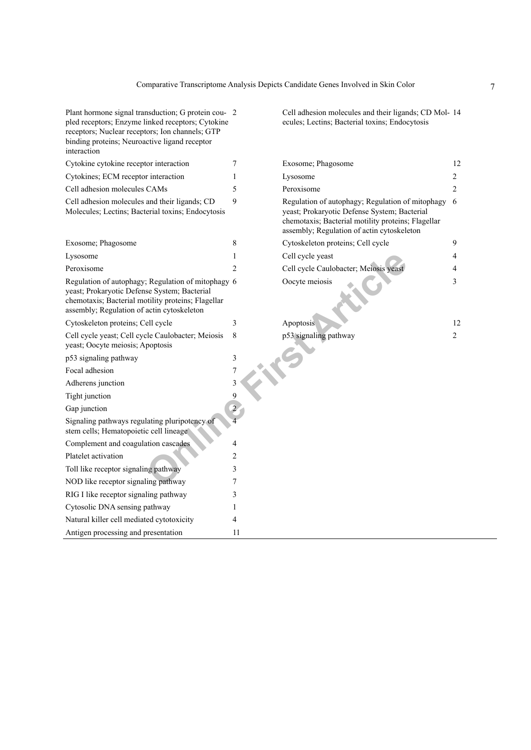| Plant hormone signal transduction; G protein cou- 2<br>pled receptors; Enzyme linked receptors; Cytokine<br>receptors; Nuclear receptors; Ion channels; GTP<br>binding proteins; Neuroactive ligand receptor<br>interaction |                | Cell adhesion molecules and their ligands; CD Mol-14<br>ecules; Lectins; Bacterial toxins; Endocytosis                                                                                                 |                |
|-----------------------------------------------------------------------------------------------------------------------------------------------------------------------------------------------------------------------------|----------------|--------------------------------------------------------------------------------------------------------------------------------------------------------------------------------------------------------|----------------|
| Cytokine cytokine receptor interaction                                                                                                                                                                                      | 7              | Exosome; Phagosome                                                                                                                                                                                     | 12             |
| Cytokines; ECM receptor interaction                                                                                                                                                                                         | 1              | Lysosome                                                                                                                                                                                               | $\overline{c}$ |
| Cell adhesion molecules CAMs                                                                                                                                                                                                | 5              | Peroxisome                                                                                                                                                                                             | 2              |
| Cell adhesion molecules and their ligands; CD<br>Molecules; Lectins; Bacterial toxins; Endocytosis                                                                                                                          | 9              | Regulation of autophagy; Regulation of mitophagy 6<br>yeast; Prokaryotic Defense System; Bacterial<br>chemotaxis; Bacterial motility proteins; Flagellar<br>assembly; Regulation of actin cytoskeleton |                |
| Exosome; Phagosome                                                                                                                                                                                                          | 8              | Cytoskeleton proteins; Cell cycle                                                                                                                                                                      | 9              |
| Lysosome                                                                                                                                                                                                                    | 1              | Cell cycle yeast                                                                                                                                                                                       | 4              |
| Peroxisome                                                                                                                                                                                                                  | $\overline{2}$ | Cell cycle Caulobacter; Meiosis yeast                                                                                                                                                                  | 4              |
| Regulation of autophagy; Regulation of mitophagy 6<br>yeast; Prokaryotic Defense System; Bacterial<br>chemotaxis; Bacterial motility proteins; Flagellar<br>assembly; Regulation of actin cytoskeleton                      |                | Oocyte meiosis                                                                                                                                                                                         | 3              |
| Cytoskeleton proteins; Cell cycle                                                                                                                                                                                           | 3              | Apoptosis                                                                                                                                                                                              | 12             |
| Cell cycle yeast; Cell cycle Caulobacter; Meiosis<br>yeast; Oocyte meiosis; Apoptosis                                                                                                                                       | 8              | p53 signaling pathway                                                                                                                                                                                  | 2              |
| p53 signaling pathway                                                                                                                                                                                                       | $\mathfrak{Z}$ |                                                                                                                                                                                                        |                |
| Focal adhesion                                                                                                                                                                                                              | 7              |                                                                                                                                                                                                        |                |
| Adherens junction                                                                                                                                                                                                           | 3              |                                                                                                                                                                                                        |                |
| Tight junction                                                                                                                                                                                                              | 9              |                                                                                                                                                                                                        |                |
| Gap junction                                                                                                                                                                                                                |                |                                                                                                                                                                                                        |                |
| Signaling pathways regulating pluripotency of<br>stem cells; Hematopoietic cell lineage                                                                                                                                     |                |                                                                                                                                                                                                        |                |
| Complement and coagulation cascades                                                                                                                                                                                         | 4              |                                                                                                                                                                                                        |                |
| Platelet activation                                                                                                                                                                                                         | $\overline{c}$ |                                                                                                                                                                                                        |                |
| Toll like receptor signaling pathway                                                                                                                                                                                        | 3              |                                                                                                                                                                                                        |                |
| NOD like receptor signaling pathway                                                                                                                                                                                         | 7              |                                                                                                                                                                                                        |                |
| RIG I like receptor signaling pathway                                                                                                                                                                                       | 3              |                                                                                                                                                                                                        |                |
| Cytosolic DNA sensing pathway                                                                                                                                                                                               | 1              |                                                                                                                                                                                                        |                |
| Natural killer cell mediated cytotoxicity                                                                                                                                                                                   | 4              |                                                                                                                                                                                                        |                |
| Antigen processing and presentation                                                                                                                                                                                         | 11             |                                                                                                                                                                                                        |                |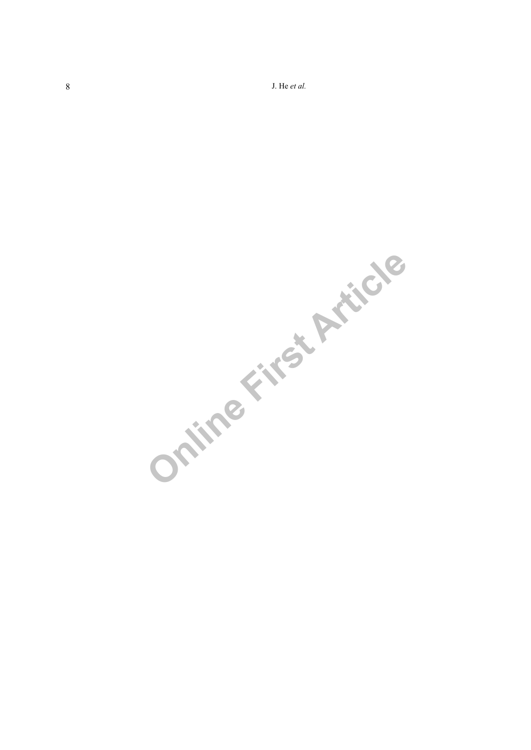**Online First Article**